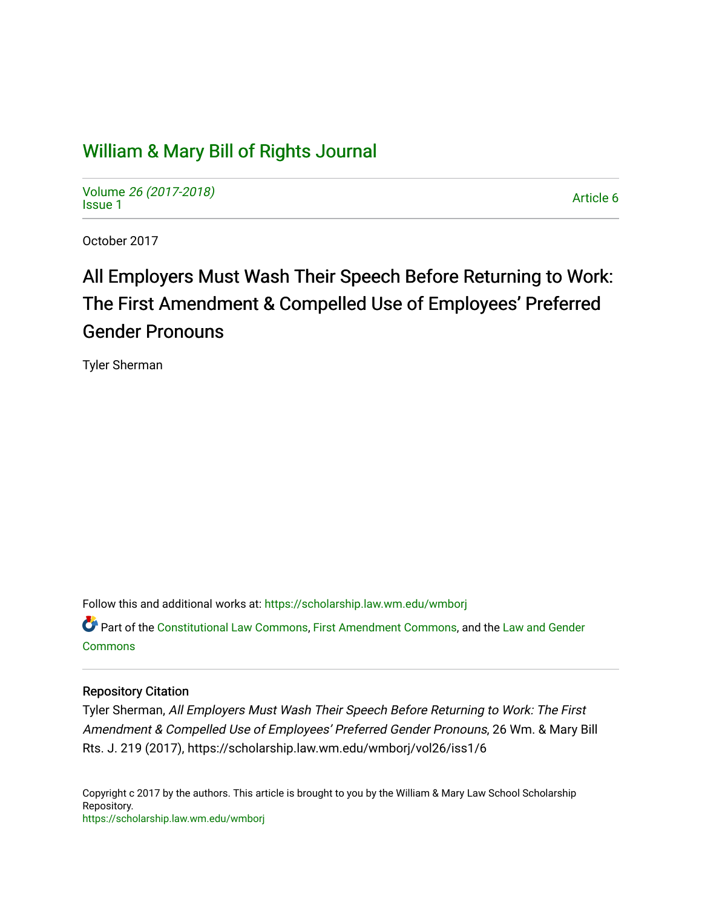## [William & Mary Bill of Rights Journal](https://scholarship.law.wm.edu/wmborj)

Volume [26 \(2017-2018\)](https://scholarship.law.wm.edu/wmborj/vol26)  volume 20 (2017-2010)<br>[Issue 1](https://scholarship.law.wm.edu/wmborj/vol26/iss1)

October 2017

# All Employers Must Wash Their Speech Before Returning to Work: The First Amendment & Compelled Use of Employees' Preferred Gender Pronouns

Tyler Sherman

Follow this and additional works at: [https://scholarship.law.wm.edu/wmborj](https://scholarship.law.wm.edu/wmborj?utm_source=scholarship.law.wm.edu%2Fwmborj%2Fvol26%2Fiss1%2F6&utm_medium=PDF&utm_campaign=PDFCoverPages) 

Part of the [Constitutional Law Commons,](http://network.bepress.com/hgg/discipline/589?utm_source=scholarship.law.wm.edu%2Fwmborj%2Fvol26%2Fiss1%2F6&utm_medium=PDF&utm_campaign=PDFCoverPages) [First Amendment Commons,](http://network.bepress.com/hgg/discipline/1115?utm_source=scholarship.law.wm.edu%2Fwmborj%2Fvol26%2Fiss1%2F6&utm_medium=PDF&utm_campaign=PDFCoverPages) and the [Law and Gender](http://network.bepress.com/hgg/discipline/1298?utm_source=scholarship.law.wm.edu%2Fwmborj%2Fvol26%2Fiss1%2F6&utm_medium=PDF&utm_campaign=PDFCoverPages)  **[Commons](http://network.bepress.com/hgg/discipline/1298?utm_source=scholarship.law.wm.edu%2Fwmborj%2Fvol26%2Fiss1%2F6&utm_medium=PDF&utm_campaign=PDFCoverPages)** 

## Repository Citation

Tyler Sherman, All Employers Must Wash Their Speech Before Returning to Work: The First Amendment & Compelled Use of Employees' Preferred Gender Pronouns, 26 Wm. & Mary Bill Rts. J. 219 (2017), https://scholarship.law.wm.edu/wmborj/vol26/iss1/6

Copyright c 2017 by the authors. This article is brought to you by the William & Mary Law School Scholarship Repository. <https://scholarship.law.wm.edu/wmborj>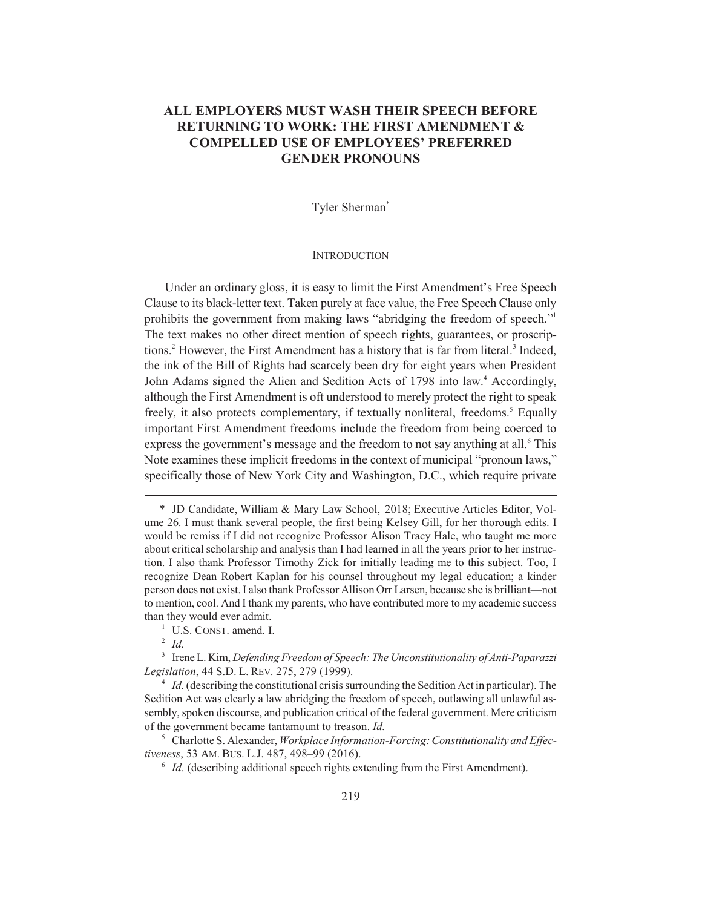## **ALL EMPLOYERS MUST WASH THEIR SPEECH BEFORE RETURNING TO WORK: THE FIRST AMENDMENT & COMPELLED USE OF EMPLOYEES' PREFERRED GENDER PRONOUNS**

## Tyler Sherman\*

#### **INTRODUCTION**

Under an ordinary gloss, it is easy to limit the First Amendment's Free Speech Clause to its black-letter text. Taken purely at face value, the Free Speech Clause only prohibits the government from making laws "abridging the freedom of speech."1 The text makes no other direct mention of speech rights, guarantees, or proscriptions.<sup>2</sup> However, the First Amendment has a history that is far from literal.<sup>3</sup> Indeed, the ink of the Bill of Rights had scarcely been dry for eight years when President John Adams signed the Alien and Sedition Acts of 1798 into law.<sup>4</sup> Accordingly, although the First Amendment is oft understood to merely protect the right to speak freely, it also protects complementary, if textually nonliteral, freedoms.<sup>5</sup> Equally important First Amendment freedoms include the freedom from being coerced to express the government's message and the freedom to not say anything at all.<sup>6</sup> This Note examines these implicit freedoms in the context of municipal "pronoun laws," specifically those of New York City and Washington, D.C., which require private

<sup>\*</sup> JD Candidate, William & Mary Law School, 2018; Executive Articles Editor, Volume 26. I must thank several people, the first being Kelsey Gill, for her thorough edits. I would be remiss if I did not recognize Professor Alison Tracy Hale, who taught me more about critical scholarship and analysis than I had learned in all the years prior to her instruction. I also thank Professor Timothy Zick for initially leading me to this subject. Too, I recognize Dean Robert Kaplan for his counsel throughout my legal education; a kinder person does not exist. I also thank Professor Allison Orr Larsen, because she is brilliant—not to mention, cool. And I thank my parents, who have contributed more to my academic success than they would ever admit.

<sup>&</sup>lt;sup>1</sup> U.S. CONST. amend. I.

<sup>2</sup> *Id.*

<sup>3</sup> Irene L. Kim, *Defending Freedom of Speech: The Unconstitutionality of Anti-Paparazzi Legislation*, 44 S.D. L. REV. 275, 279 (1999).

<sup>&</sup>lt;sup>4</sup> *Id.* (describing the constitutional crisis surrounding the Sedition Act in particular). The Sedition Act was clearly a law abridging the freedom of speech, outlawing all unlawful assembly, spoken discourse, and publication critical of the federal government. Mere criticism of the government became tantamount to treason. *Id.*

<sup>5</sup> Charlotte S. Alexander, *Workplace Information-Forcing: Constitutionality and Effectiveness*, 53 AM. BUS. L.J. 487, 498–99 (2016).

 $6$  *Id.* (describing additional speech rights extending from the First Amendment).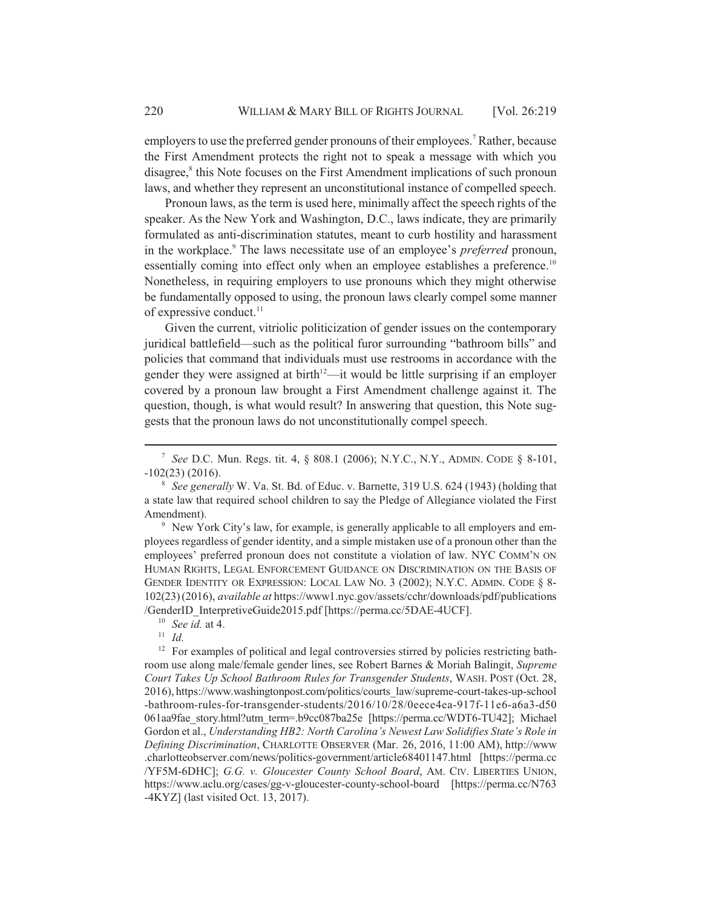employers to use the preferred gender pronouns of their employees.<sup>7</sup> Rather, because the First Amendment protects the right not to speak a message with which you disagree,<sup>8</sup> this Note focuses on the First Amendment implications of such pronoun laws, and whether they represent an unconstitutional instance of compelled speech.

Pronoun laws, as the term is used here, minimally affect the speech rights of the speaker. As the New York and Washington, D.C., laws indicate, they are primarily formulated as anti-discrimination statutes, meant to curb hostility and harassment in the workplace.9 The laws necessitate use of an employee's *preferred* pronoun, essentially coming into effect only when an employee establishes a preference.<sup>10</sup> Nonetheless, in requiring employers to use pronouns which they might otherwise be fundamentally opposed to using, the pronoun laws clearly compel some manner of expressive conduct. $11$ 

Given the current, vitriolic politicization of gender issues on the contemporary juridical battlefield—such as the political furor surrounding "bathroom bills" and policies that command that individuals must use restrooms in accordance with the gender they were assigned at birth<sup> $12$ </sup>—it would be little surprising if an employer covered by a pronoun law brought a First Amendment challenge against it. The question, though, is what would result? In answering that question, this Note suggests that the pronoun laws do not unconstitutionally compel speech.

<sup>9</sup> New York City's law, for example, is generally applicable to all employers and employees regardless of gender identity, and a simple mistaken use of a pronoun other than the employees' preferred pronoun does not constitute a violation of law. NYC COMM'N ON HUMAN RIGHTS, LEGAL ENFORCEMENT GUIDANCE ON DISCRIMINATION ON THE BASIS OF GENDER IDENTITY OR EXPRESSION: LOCAL LAW NO. 3 (2002); N.Y.C. ADMIN. CODE § 8- 102(23)(2016), *available at* https://www1.nyc.gov/assets/cchr/downloads/pdf/publications /GenderID\_InterpretiveGuide2015.pdf [https://perma.cc/5DAE-4UCF].

<sup>7</sup> *See* D.C. Mun. Regs. tit. 4, § 808.1 (2006); N.Y.C., N.Y., ADMIN. CODE § 8-101, -102(23) (2016).

<sup>8</sup> *See generally* W. Va. St. Bd. of Educ. v. Barnette, 319 U.S. 624 (1943) (holding that a state law that required school children to say the Pledge of Allegiance violated the First Amendment).

<sup>10</sup> *See id.* at 4.

<sup>11</sup> *Id.*

<sup>&</sup>lt;sup>12</sup> For examples of political and legal controversies stirred by policies restricting bathroom use along male/female gender lines, see Robert Barnes & Moriah Balingit, *Supreme Court Takes Up School Bathroom Rules for Transgender Students*, WASH. POST (Oct. 28, 2016), https://www.washingtonpost.com/politics/courts\_law/supreme-court-takes-up-school -bathroom-rules-for-transgender-students/2016/10/28/0eece4ea-917f-11e6-a6a3-d50 061aa9fae\_story.html?utm\_term=.b9cc087ba25e [https://perma.cc/WDT6-TU42]; Michael Gordon et al., *Understanding HB2: North Carolina's Newest Law Solidifies State's Role in Defining Discrimination*, CHARLOTTE OBSERVER (Mar. 26, 2016, 11:00 AM), http://www .charlotteobserver.com/news/politics-government/article68401147.html [https://perma.cc /YF5M-6DHC]; *G.G. v. Gloucester County School Board*, AM. CIV. LIBERTIES UNION, https://www.aclu.org/cases/gg-v-gloucester-county-school-board [https://perma.cc/N763 -4KYZ] (last visited Oct. 13, 2017).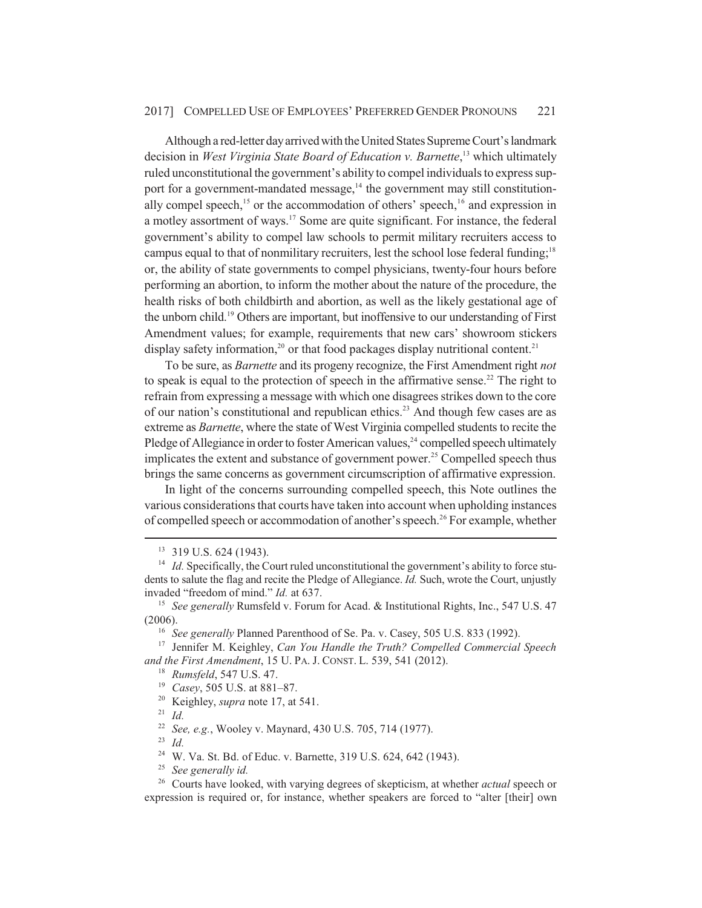#### 2017] COMPELLED USE OF EMPLOYEES' PREFERRED GENDER PRONOUNS 221

Although a red-letter day arrived with the United States Supreme Court's landmark decision in *West Virginia State Board of Education v. Barnette*, 13 which ultimately ruled unconstitutional the government's ability to compel individuals to express support for a government-mandated message, $14$  the government may still constitutionally compel speech,<sup>15</sup> or the accommodation of others' speech,<sup>16</sup> and expression in a motley assortment of ways.<sup>17</sup> Some are quite significant. For instance, the federal government's ability to compel law schools to permit military recruiters access to campus equal to that of nonmilitary recruiters, lest the school lose federal funding;<sup>18</sup> or, the ability of state governments to compel physicians, twenty-four hours before performing an abortion, to inform the mother about the nature of the procedure, the health risks of both childbirth and abortion, as well as the likely gestational age of the unborn child.19 Others are important, but inoffensive to our understanding of First Amendment values; for example, requirements that new cars' showroom stickers display safety information,<sup>20</sup> or that food packages display nutritional content.<sup>21</sup>

To be sure, as *Barnette* and its progeny recognize, the First Amendment right *not* to speak is equal to the protection of speech in the affirmative sense.<sup>22</sup> The right to refrain from expressing a message with which one disagrees strikes down to the core of our nation's constitutional and republican ethics.<sup>23</sup> And though few cases are as extreme as *Barnette*, where the state of West Virginia compelled students to recite the Pledge of Allegiance in order to foster American values, $^{24}$  compelled speech ultimately implicates the extent and substance of government power.<sup>25</sup> Compelled speech thus brings the same concerns as government circumscription of affirmative expression.

In light of the concerns surrounding compelled speech, this Note outlines the various considerations that courts have taken into account when upholding instances of compelled speech or accommodation of another's speech.<sup>26</sup> For example, whether

<sup>20</sup> Keighley, *supra* note 17, at 541.

<sup>21</sup> *Id.*

<sup>23</sup> *Id.*

<sup>&</sup>lt;sup>13</sup> 319 U.S. 624 (1943).

<sup>&</sup>lt;sup>14</sup> *Id.* Specifically, the Court ruled unconstitutional the government's ability to force students to salute the flag and recite the Pledge of Allegiance. *Id.* Such, wrote the Court, unjustly invaded "freedom of mind." *Id.* at 637.

<sup>&</sup>lt;sup>15</sup> *See generally* Rumsfeld v. Forum for Acad. & Institutional Rights, Inc., 547 U.S. 47 (2006).

<sup>&</sup>lt;sup>16</sup> *See generally* Planned Parenthood of Se. Pa. v. Casey, 505 U.S. 833 (1992).

<sup>17</sup> Jennifer M. Keighley, *Can You Handle the Truth? Compelled Commercial Speech and the First Amendment*, 15 U. PA. J. CONST. L. 539, 541 (2012).

<sup>18</sup> *Rumsfeld*, 547 U.S. 47.

<sup>19</sup> *Casey*, 505 U.S. at 881–87.

<sup>22</sup> *See, e.g.*, Wooley v. Maynard, 430 U.S. 705, 714 (1977).

<sup>24</sup> W. Va. St. Bd. of Educ. v. Barnette, 319 U.S. 624, 642 (1943).

<sup>25</sup> *See generally id.*

<sup>26</sup> Courts have looked, with varying degrees of skepticism, at whether *actual* speech or expression is required or, for instance, whether speakers are forced to "alter [their] own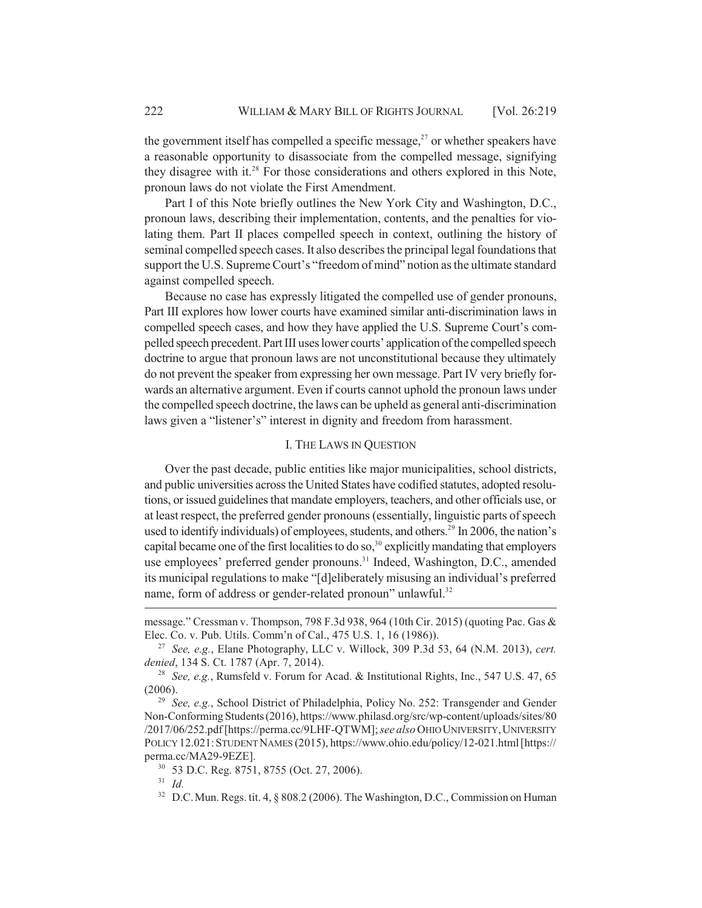the government itself has compelled a specific message, $2<sup>7</sup>$  or whether speakers have a reasonable opportunity to disassociate from the compelled message, signifying they disagree with it.<sup>28</sup> For those considerations and others explored in this Note, pronoun laws do not violate the First Amendment.

Part I of this Note briefly outlines the New York City and Washington, D.C., pronoun laws, describing their implementation, contents, and the penalties for violating them. Part II places compelled speech in context, outlining the history of seminal compelled speech cases. It also describes the principal legal foundations that support the U.S. Supreme Court's "freedom of mind" notion as the ultimate standard against compelled speech.

Because no case has expressly litigated the compelled use of gender pronouns, Part III explores how lower courts have examined similar anti-discrimination laws in compelled speech cases, and how they have applied the U.S. Supreme Court's compelled speech precedent. Part III uses lower courts' application of the compelled speech doctrine to argue that pronoun laws are not unconstitutional because they ultimately do not prevent the speaker from expressing her own message. Part IV very briefly forwards an alternative argument. Even if courts cannot uphold the pronoun laws under the compelled speech doctrine, the laws can be upheld as general anti-discrimination laws given a "listener's" interest in dignity and freedom from harassment.

#### I. THE LAWS IN QUESTION

Over the past decade, public entities like major municipalities, school districts, and public universities across the United States have codified statutes, adopted resolutions, or issued guidelines that mandate employers, teachers, and other officials use, or at least respect, the preferred gender pronouns (essentially, linguistic parts of speech used to identify individuals) of employees, students, and others.<sup>29</sup> In 2006, the nation's capital became one of the first localities to do so,<sup>30</sup> explicitly mandating that employers use employees' preferred gender pronouns.<sup>31</sup> Indeed, Washington, D.C., amended its municipal regulations to make "[d]eliberately misusing an individual's preferred name, form of address or gender-related pronoun" unlawful.<sup>32</sup>

message." Cressman v. Thompson, 798 F.3d 938, 964 (10th Cir. 2015) (quoting Pac. Gas & Elec. Co. v. Pub. Utils. Comm'n of Cal., 475 U.S. 1, 16 (1986)).

<sup>27</sup> *See, e.g.*, Elane Photography, LLC v. Willock, 309 P.3d 53, 64 (N.M. 2013), *cert. denied*, 134 S. Ct. 1787 (Apr. 7, 2014).

<sup>28</sup> *See, e.g.*, Rumsfeld v. Forum for Acad. & Institutional Rights, Inc., 547 U.S. 47, 65 (2006).

<sup>29</sup> *See, e.g.*, School District of Philadelphia, Policy No. 252: Transgender and Gender Non-Conforming Students (2016), https://www.philasd.org/src/wp-content/uploads/sites/80 /2017/06/252.pdf [https://perma.cc/9LHF-QTWM]; *see also* OHIO UNIVERSITY,UNIVERSITY POLICY 12.021:STUDENT NAMES (2015), https://www.ohio.edu/policy/12-021.html [https:// perma.cc/MA29-9EZE].

<sup>30</sup> 53 D.C. Reg. 8751, 8755 (Oct. 27, 2006).

<sup>31</sup> *Id.*

<sup>&</sup>lt;sup>32</sup> D.C. Mun. Regs. tit. 4,  $\S 808.2$  (2006). The Washington, D.C., Commission on Human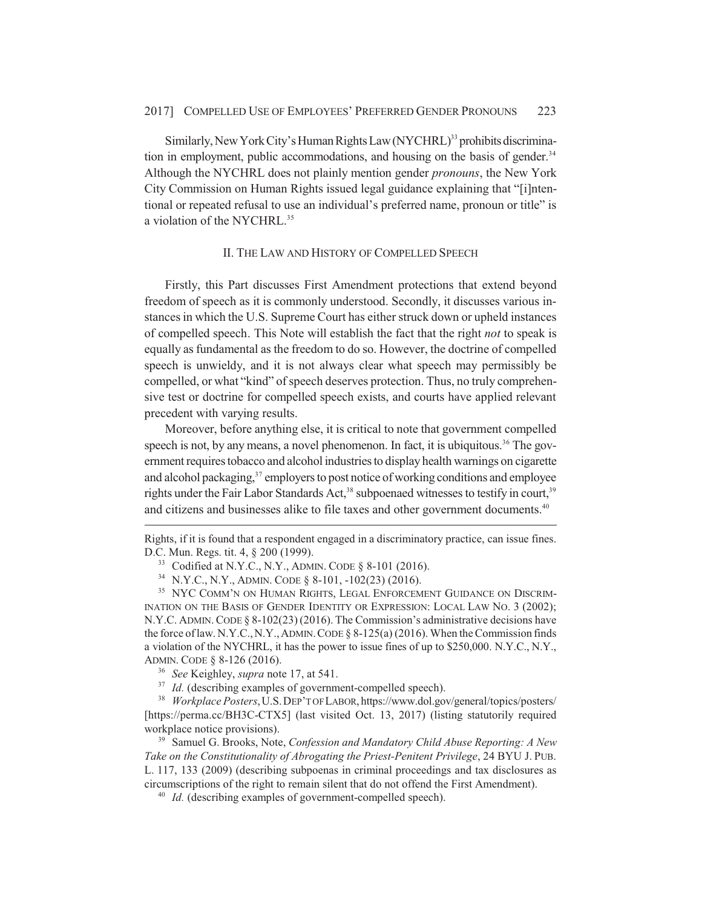Similarly, New York City's Human Rights Law (NYCHRL)<sup>33</sup> prohibits discrimination in employment, public accommodations, and housing on the basis of gender.<sup>34</sup> Although the NYCHRL does not plainly mention gender *pronouns*, the New York City Commission on Human Rights issued legal guidance explaining that "[i]ntentional or repeated refusal to use an individual's preferred name, pronoun or title" is a violation of the NYCHRL.<sup>35</sup>

#### II. THE LAW AND HISTORY OF COMPELLED SPEECH

Firstly, this Part discusses First Amendment protections that extend beyond freedom of speech as it is commonly understood. Secondly, it discusses various instances in which the U.S. Supreme Court has either struck down or upheld instances of compelled speech. This Note will establish the fact that the right *not* to speak is equally as fundamental as the freedom to do so. However, the doctrine of compelled speech is unwieldy, and it is not always clear what speech may permissibly be compelled, or what "kind" of speech deserves protection. Thus, no truly comprehensive test or doctrine for compelled speech exists, and courts have applied relevant precedent with varying results.

Moreover, before anything else, it is critical to note that government compelled speech is not, by any means, a novel phenomenon. In fact, it is ubiquitous.<sup>36</sup> The government requires tobacco and alcohol industries to display health warnings on cigarette and alcohol packaging, $37$  employers to post notice of working conditions and employee rights under the Fair Labor Standards Act,<sup>38</sup> subpoenaed witnesses to testify in court,<sup>39</sup> and citizens and businesses alike to file taxes and other government documents.<sup>40</sup>

Rights, if it is found that a respondent engaged in a discriminatory practice, can issue fines. D.C. Mun. Regs. tit. 4, § 200 (1999).

<sup>33</sup> Codified at N.Y.C., N.Y., ADMIN. CODE § 8-101 (2016).

<sup>34</sup> N.Y.C., N.Y., ADMIN. CODE § 8-101, -102(23) (2016).

<sup>&</sup>lt;sup>35</sup> NYC COMM'N ON HUMAN RIGHTS, LEGAL ENFORCEMENT GUIDANCE ON DISCRIM-INATION ON THE BASIS OF GENDER IDENTITY OR EXPRESSION: LOCAL LAW NO. 3 (2002); N.Y.C. ADMIN. CODE  $\S 8-102(23)$  (2016). The Commission's administrative decisions have the force of law. N.Y.C., N.Y., ADMIN. CODE  $\S 8-125(a)$  (2016). When the Commission finds a violation of the NYCHRL, it has the power to issue fines of up to \$250,000. N.Y.C., N.Y., ADMIN. CODE § 8-126 (2016).

<sup>36</sup> *See* Keighley, *supra* note 17, at 541.

<sup>&</sup>lt;sup>37</sup> *Id.* (describing examples of government-compelled speech).

<sup>38</sup> *Workplace Posters*,U.S.DEP'T OF LABOR, https://www.dol.gov/general/topics/posters/ [https://perma.cc/BH3C-CTX5] (last visited Oct. 13, 2017) (listing statutorily required workplace notice provisions).

<sup>39</sup> Samuel G. Brooks, Note, *Confession and Mandatory Child Abuse Reporting: A New Take on the Constitutionality of Abrogating the Priest-Penitent Privilege*, 24 BYU J. PUB. L. 117, 133 (2009) (describing subpoenas in criminal proceedings and tax disclosures as circumscriptions of the right to remain silent that do not offend the First Amendment).

<sup>&</sup>lt;sup>40</sup> *Id.* (describing examples of government-compelled speech).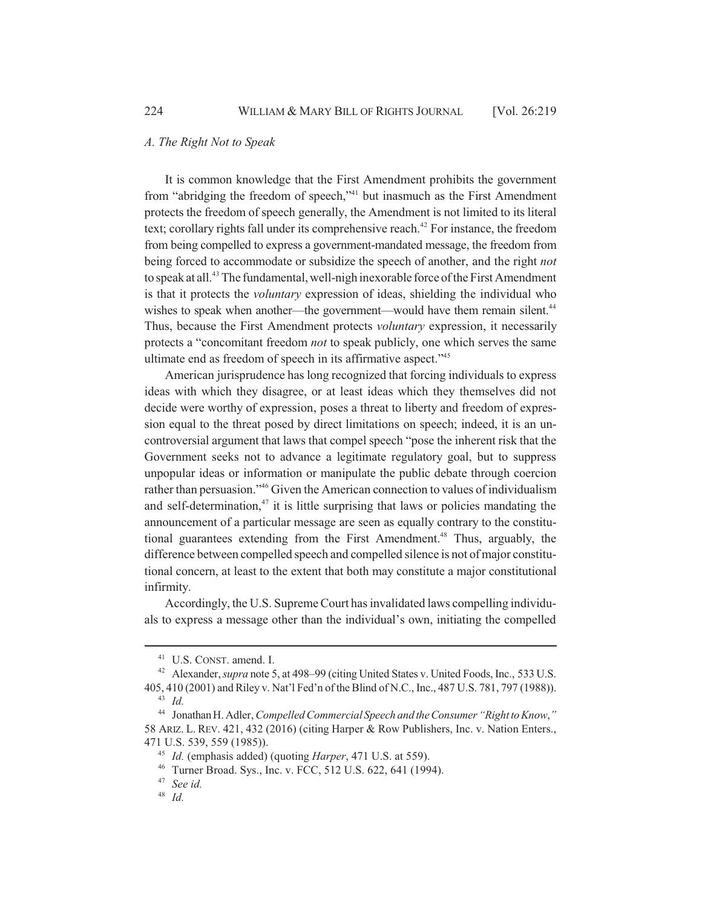#### *A. The Right Not to Speak*

It is common knowledge that the First Amendment prohibits the government from "abridging the freedom of speech,"41 but inasmuch as the First Amendment protects the freedom of speech generally, the Amendment is not limited to its literal text; corollary rights fall under its comprehensive reach.<sup>42</sup> For instance, the freedom from being compelled to express a government-mandated message, the freedom from being forced to accommodate or subsidize the speech of another, and the right *not* to speak at all.<sup>43</sup> The fundamental, well-nigh inexorable force of the First Amendment is that it protects the *voluntary* expression of ideas, shielding the individual who wishes to speak when another—the government—would have them remain silent.<sup>44</sup> Thus, because the First Amendment protects *voluntary* expression, it necessarily protects a "concomitant freedom *not* to speak publicly, one which serves the same ultimate end as freedom of speech in its affirmative aspect."45

American jurisprudence has long recognized that forcing individuals to express ideas with which they disagree, or at least ideas which they themselves did not decide were worthy of expression, poses a threat to liberty and freedom of expression equal to the threat posed by direct limitations on speech; indeed, it is an uncontroversial argument that laws that compel speech "pose the inherent risk that the Government seeks not to advance a legitimate regulatory goal, but to suppress unpopular ideas or information or manipulate the public debate through coercion rather than persuasion."46 Given the American connection to values of individualism and self-determination, $47$  it is little surprising that laws or policies mandating the announcement of a particular message are seen as equally contrary to the constitutional guarantees extending from the First Amendment.<sup>48</sup> Thus, arguably, the difference between compelled speech and compelled silence is not of major constitutional concern, at least to the extent that both may constitute a major constitutional infirmity.

Accordingly, the U.S. Supreme Court has invalidated laws compelling individuals to express a message other than the individual's own, initiating the compelled

<sup>&</sup>lt;sup>41</sup> U.S. CONST. amend. I.

<sup>&</sup>lt;sup>42</sup> Alexander, *supra* note 5, at 498–99 (citing United States v. United Foods, Inc., 533 U.S. 405, 410 (2001) and Riley v. Nat'l Fed'n of the Blind of N.C., Inc., 487 U.S. 781, 797 (1988)). <sup>43</sup> *Id.*

<sup>44</sup> Jonathan H. Adler, *Compelled Commercial Speech and the Consumer "Right to Know*,*"* 58 ARIZ. L. REV. 421, 432 (2016) (citing Harper & Row Publishers, Inc. v. Nation Enters., 471 U.S. 539, 559 (1985)).

<sup>45</sup> *Id.* (emphasis added) (quoting *Harper*, 471 U.S. at 559).

<sup>46</sup> Turner Broad. Sys., Inc. v. FCC, 512 U.S. 622, 641 (1994).

<sup>47</sup> *See id.*

<sup>48</sup> *Id.*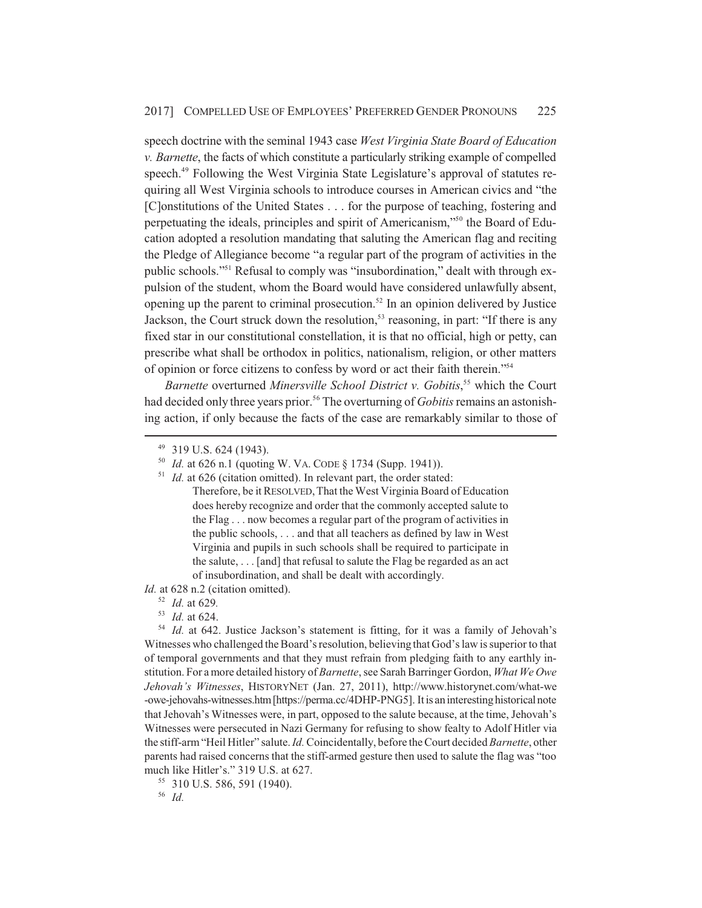speech doctrine with the seminal 1943 case *West Virginia State Board of Education v. Barnette*, the facts of which constitute a particularly striking example of compelled speech.49 Following the West Virginia State Legislature's approval of statutes requiring all West Virginia schools to introduce courses in American civics and "the [C]onstitutions of the United States . . . for the purpose of teaching, fostering and perpetuating the ideals, principles and spirit of Americanism,"50 the Board of Education adopted a resolution mandating that saluting the American flag and reciting the Pledge of Allegiance become "a regular part of the program of activities in the public schools."51 Refusal to comply was "insubordination," dealt with through expulsion of the student, whom the Board would have considered unlawfully absent, opening up the parent to criminal prosecution.<sup>52</sup> In an opinion delivered by Justice Jackson, the Court struck down the resolution,<sup>53</sup> reasoning, in part: "If there is any fixed star in our constitutional constellation, it is that no official, high or petty, can prescribe what shall be orthodox in politics, nationalism, religion, or other matters of opinion or force citizens to confess by word or act their faith therein."54

*Barnette* overturned *Minersville School District v. Gobitis*, 55 which the Court had decided only three years prior.<sup>56</sup> The overturning of *Gobitis* remains an astonishing action, if only because the facts of the case are remarkably similar to those of

*Id.* at 628 n.2 (citation omitted).

<sup>53</sup> *Id.* at 624.

<sup>55</sup> 310 U.S. 586, 591 (1940).

<sup>56</sup> *Id.*

<sup>49</sup> 319 U.S. 624 (1943).

<sup>50</sup> *Id.* at 626 n.1 (quoting W. VA. CODE § 1734 (Supp. 1941)).

<sup>&</sup>lt;sup>51</sup> *Id.* at 626 (citation omitted). In relevant part, the order stated: Therefore, be it RESOLVED, That the West Virginia Board of Education does hereby recognize and order that the commonly accepted salute to the Flag . . . now becomes a regular part of the program of activities in the public schools, . . . and that all teachers as defined by law in West Virginia and pupils in such schools shall be required to participate in the salute, . . . [and] that refusal to salute the Flag be regarded as an act of insubordination, and shall be dealt with accordingly.

<sup>52</sup> *Id.* at 629*.*

<sup>54</sup> *Id.* at 642. Justice Jackson's statement is fitting, for it was a family of Jehovah's Witnesses who challenged the Board's resolution, believing that God's law is superior to that of temporal governments and that they must refrain from pledging faith to any earthly institution. For a more detailed history of *Barnette*, see Sarah Barringer Gordon, *What We Owe Jehovah's Witnesses*, HISTORYNET (Jan. 27, 2011), http://www.historynet.com/what-we -owe-jehovahs-witnesses.htm [https://perma.cc/4DHP-PNG5]. It is an interesting historical note that Jehovah's Witnesses were, in part, opposed to the salute because, at the time, Jehovah's Witnesses were persecuted in Nazi Germany for refusing to show fealty to Adolf Hitler via the stiff-arm "Heil Hitler" salute. *Id.* Coincidentally, before the Court decided *Barnette*, other parents had raised concerns that the stiff-armed gesture then used to salute the flag was "too much like Hitler's." 319 U.S. at 627.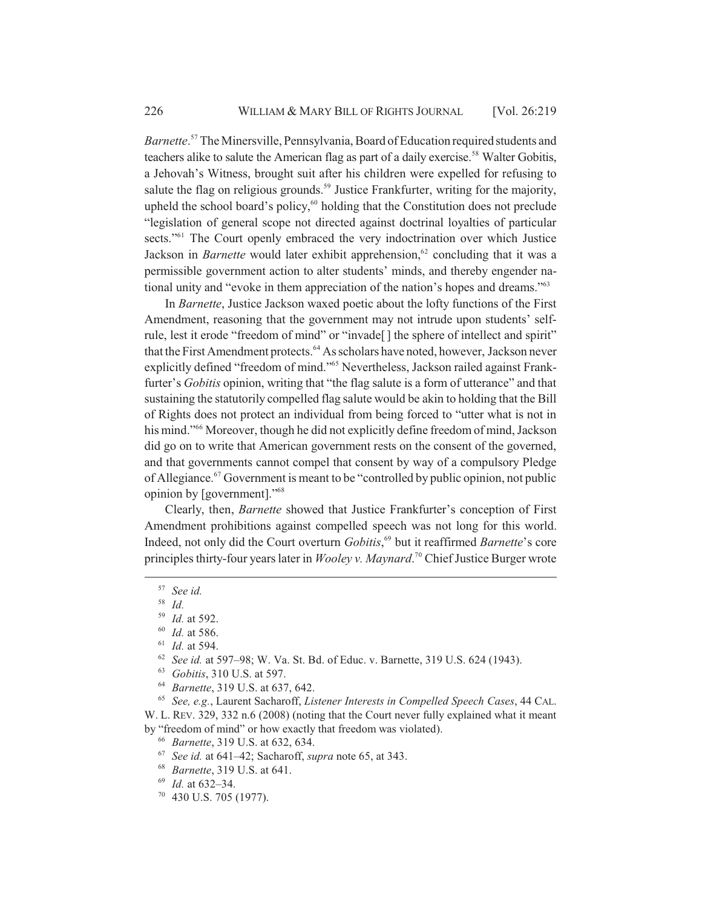*Barnette*. 57 The Minersville, Pennsylvania, Board of Education required students and teachers alike to salute the American flag as part of a daily exercise.<sup>58</sup> Walter Gobitis, a Jehovah's Witness, brought suit after his children were expelled for refusing to salute the flag on religious grounds.<sup>59</sup> Justice Frankfurter, writing for the majority, upheld the school board's policy, $60$  holding that the Constitution does not preclude "legislation of general scope not directed against doctrinal loyalties of particular sects."<sup>61</sup> The Court openly embraced the very indoctrination over which Justice Jackson in *Barnette* would later exhibit apprehension,<sup>62</sup> concluding that it was a permissible government action to alter students' minds, and thereby engender national unity and "evoke in them appreciation of the nation's hopes and dreams."63

In *Barnette*, Justice Jackson waxed poetic about the lofty functions of the First Amendment, reasoning that the government may not intrude upon students' selfrule, lest it erode "freedom of mind" or "invade[ ] the sphere of intellect and spirit" that the First Amendment protects.<sup>64</sup> As scholars have noted, however, Jackson never explicitly defined "freedom of mind."<sup>65</sup> Nevertheless, Jackson railed against Frankfurter's *Gobitis* opinion, writing that "the flag salute is a form of utterance" and that sustaining the statutorily compelled flag salute would be akin to holding that the Bill of Rights does not protect an individual from being forced to "utter what is not in his mind."<sup>66</sup> Moreover, though he did not explicitly define freedom of mind, Jackson did go on to write that American government rests on the consent of the governed, and that governments cannot compel that consent by way of a compulsory Pledge of Allegiance.<sup>67</sup> Government is meant to be "controlled by public opinion, not public opinion by [government]."68

Clearly, then, *Barnette* showed that Justice Frankfurter's conception of First Amendment prohibitions against compelled speech was not long for this world. Indeed, not only did the Court overturn *Gobitis*, 69 but it reaffirmed *Barnette*'s core principles thirty-four years later in *Wooley v. Maynard*. 70 Chief Justice Burger wrote

<sup>57</sup> *See id.*

<sup>58</sup> *Id.*

<sup>59</sup> *Id.* at 592.

<sup>60</sup> *Id.* at 586.

<sup>61</sup> *Id.* at 594.

<sup>62</sup> *See id.* at 597–98; W. Va. St. Bd. of Educ. v. Barnette, 319 U.S. 624 (1943).

<sup>63</sup> *Gobitis*, 310 U.S. at 597.

<sup>64</sup> *Barnette*, 319 U.S. at 637, 642.

<sup>65</sup> *See, e.g.*, Laurent Sacharoff, *Listener Interests in Compelled Speech Cases*, 44 CAL. W. L. REV. 329, 332 n.6 (2008) (noting that the Court never fully explained what it meant by "freedom of mind" or how exactly that freedom was violated).

<sup>66</sup> *Barnette*, 319 U.S. at 632, 634.

<sup>67</sup> *See id.* at 641–42; Sacharoff, *supra* note 65, at 343.

<sup>68</sup> *Barnette*, 319 U.S. at 641.

<sup>69</sup> *Id.* at 632–34.

 $70$  430 U.S. 705 (1977).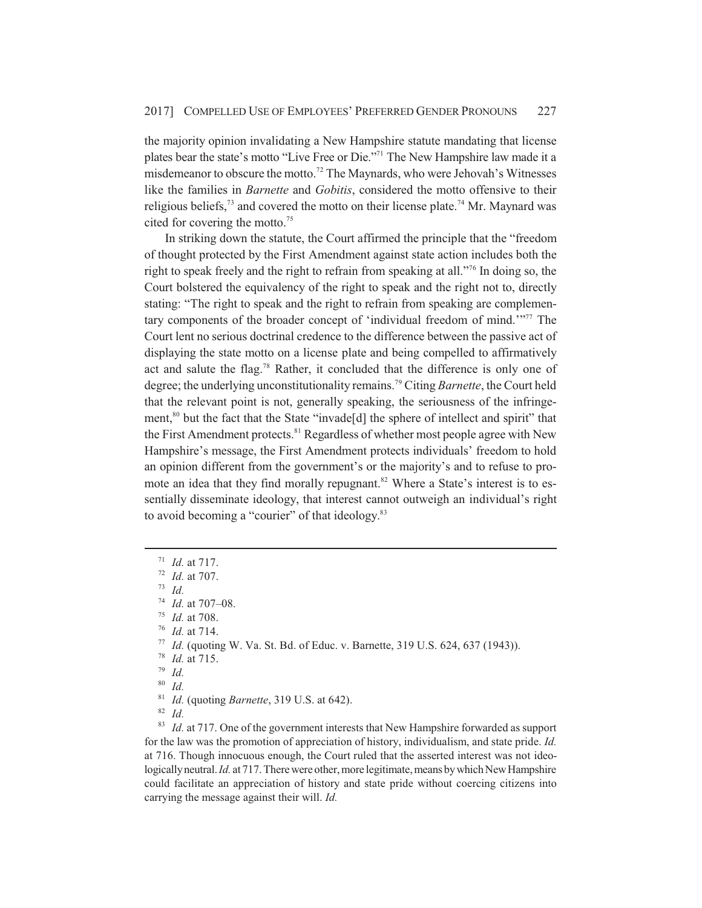the majority opinion invalidating a New Hampshire statute mandating that license plates bear the state's motto "Live Free or Die."71 The New Hampshire law made it a misdemeanor to obscure the motto.<sup>72</sup> The Maynards, who were Jehovah's Witnesses like the families in *Barnette* and *Gobitis*, considered the motto offensive to their religious beliefs,<sup> $73$ </sup> and covered the motto on their license plate.<sup>74</sup> Mr. Maynard was cited for covering the motto.<sup>75</sup>

In striking down the statute, the Court affirmed the principle that the "freedom of thought protected by the First Amendment against state action includes both the right to speak freely and the right to refrain from speaking at all."76 In doing so, the Court bolstered the equivalency of the right to speak and the right not to, directly stating: "The right to speak and the right to refrain from speaking are complementary components of the broader concept of 'individual freedom of mind.'"77 The Court lent no serious doctrinal credence to the difference between the passive act of displaying the state motto on a license plate and being compelled to affirmatively act and salute the flag.<sup>78</sup> Rather, it concluded that the difference is only one of degree; the underlying unconstitutionality remains.79 Citing *Barnette*, the Court held that the relevant point is not, generally speaking, the seriousness of the infringement,<sup>80</sup> but the fact that the State "invade<sup>[d]</sup> the sphere of intellect and spirit" that the First Amendment protects.<sup>81</sup> Regardless of whether most people agree with New Hampshire's message, the First Amendment protects individuals' freedom to hold an opinion different from the government's or the majority's and to refuse to promote an idea that they find morally repugnant.<sup>82</sup> Where a State's interest is to essentially disseminate ideology, that interest cannot outweigh an individual's right to avoid becoming a "courier" of that ideology.<sup>83</sup>

- <sup>71</sup> *Id.* at 717.
- <sup>72</sup> *Id.* at 707.

<sup>73</sup> *Id.*

<sup>76</sup> *Id.* at 714.

<sup>77</sup> *Id.* (quoting W. Va. St. Bd. of Educ. v. Barnette, 319 U.S. 624, 637 (1943)).

<sup>79</sup> *Id.*

<sup>80</sup> *Id.*

<sup>81</sup> *Id.* (quoting *Barnette*, 319 U.S. at 642).

<sup>82</sup> *Id.*

<sup>83</sup> *Id.* at 717. One of the government interests that New Hampshire forwarded as support for the law was the promotion of appreciation of history, individualism, and state pride. *Id.* at 716. Though innocuous enough, the Court ruled that the asserted interest was not ideologically neutral. *Id.* at 717. There were other, more legitimate, means by which New Hampshire could facilitate an appreciation of history and state pride without coercing citizens into carrying the message against their will. *Id.*

<sup>74</sup> *Id.* at 707–08.

<sup>75</sup> *Id.* at 708.

<sup>78</sup> *Id.* at 715.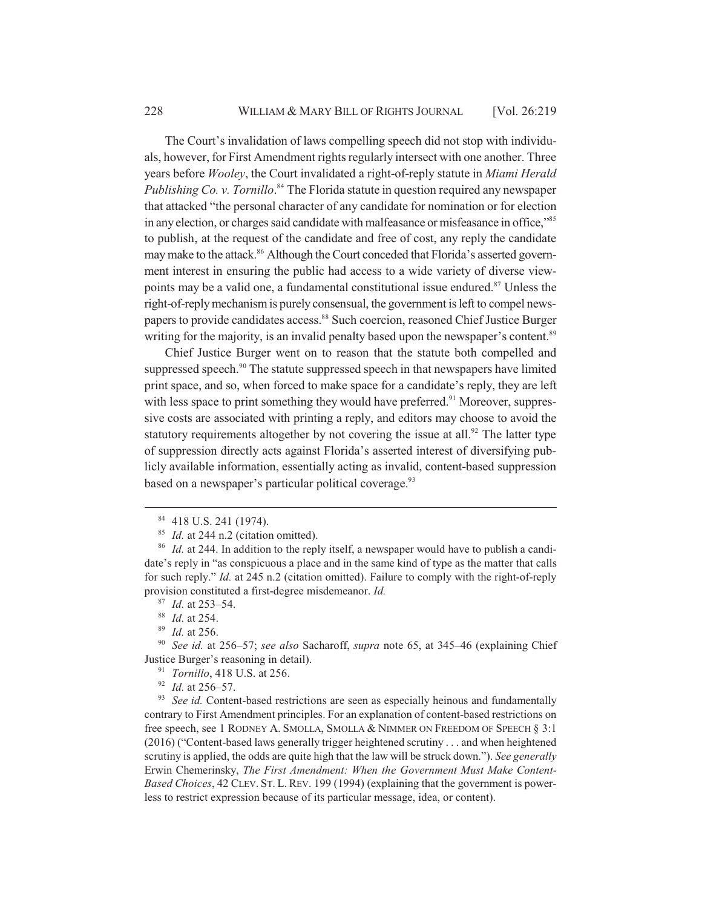The Court's invalidation of laws compelling speech did not stop with individuals, however, for First Amendment rights regularly intersect with one another. Three years before *Wooley*, the Court invalidated a right-of-reply statute in *Miami Herald* Publishing Co. v. Tornillo.<sup>84</sup> The Florida statute in question required any newspaper that attacked "the personal character of any candidate for nomination or for election in any election, or charges said candidate with malfeasance or misfeasance in office,"<sup>85</sup> to publish, at the request of the candidate and free of cost, any reply the candidate may make to the attack.<sup>86</sup> Although the Court conceded that Florida's asserted government interest in ensuring the public had access to a wide variety of diverse viewpoints may be a valid one, a fundamental constitutional issue endured.<sup>87</sup> Unless the right-of-reply mechanism is purely consensual, the government is left to compel newspapers to provide candidates access.<sup>88</sup> Such coercion, reasoned Chief Justice Burger writing for the majority, is an invalid penalty based upon the newspaper's content.<sup>89</sup>

Chief Justice Burger went on to reason that the statute both compelled and suppressed speech. $90$  The statute suppressed speech in that newspapers have limited print space, and so, when forced to make space for a candidate's reply, they are left with less space to print something they would have preferred.<sup>91</sup> Moreover, suppressive costs are associated with printing a reply, and editors may choose to avoid the statutory requirements altogether by not covering the issue at all.<sup>92</sup> The latter type of suppression directly acts against Florida's asserted interest of diversifying publicly available information, essentially acting as invalid, content-based suppression based on a newspaper's particular political coverage.<sup>93</sup>

<sup>91</sup> *Tornillo*, 418 U.S. at 256.

<sup>92</sup> *Id.* at 256–57.

<sup>93</sup> *See id.* Content-based restrictions are seen as especially heinous and fundamentally contrary to First Amendment principles. For an explanation of content-based restrictions on free speech, see 1 RODNEY A. SMOLLA, SMOLLA & NIMMER ON FREEDOM OF SPEECH § 3:1 (2016) ("Content-based laws generally trigger heightened scrutiny . . . and when heightened scrutiny is applied, the odds are quite high that the law will be struck down."). *See generally* Erwin Chemerinsky, *The First Amendment: When the Government Must Make Content-Based Choices*, 42 CLEV. ST. L. REV. 199 (1994) (explaining that the government is powerless to restrict expression because of its particular message, idea, or content).

<sup>84</sup> 418 U.S. 241 (1974).

<sup>&</sup>lt;sup>85</sup> *Id.* at 244 n.2 (citation omitted).

<sup>&</sup>lt;sup>86</sup> *Id.* at 244. In addition to the reply itself, a newspaper would have to publish a candidate's reply in "as conspicuous a place and in the same kind of type as the matter that calls for such reply." *Id.* at 245 n.2 (citation omitted). Failure to comply with the right-of-reply provision constituted a first-degree misdemeanor. *Id.*

<sup>87</sup> *Id.* at 253–54.

<sup>88</sup> *Id.* at 254.

<sup>89</sup> *Id.* at 256.

<sup>90</sup> *See id.* at 256–57; *see also* Sacharoff, *supra* note 65, at 345–46 (explaining Chief Justice Burger's reasoning in detail).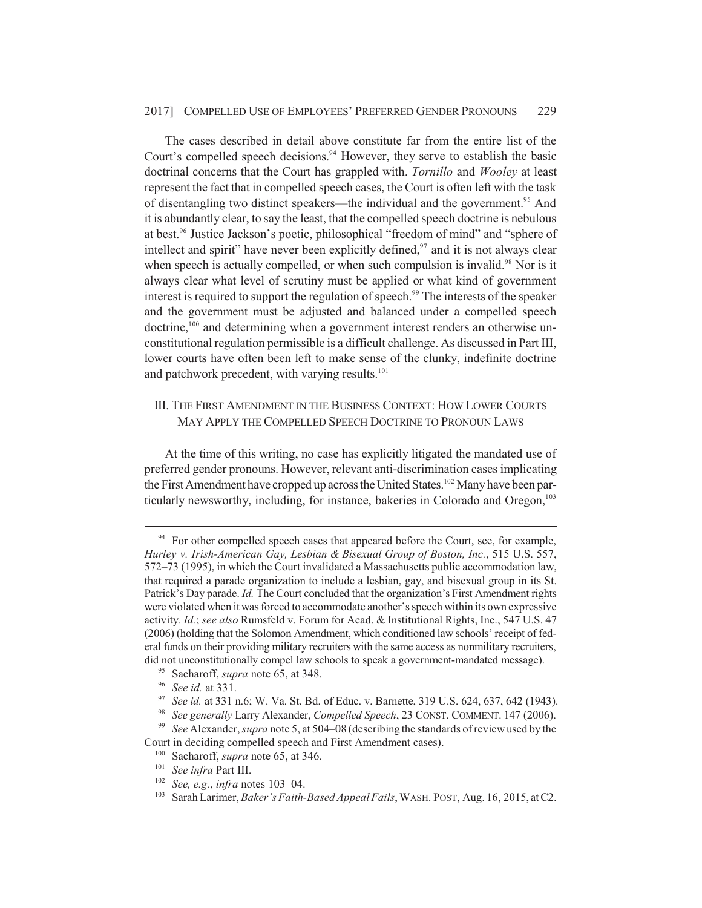The cases described in detail above constitute far from the entire list of the Court's compelled speech decisions.<sup>94</sup> However, they serve to establish the basic doctrinal concerns that the Court has grappled with. *Tornillo* and *Wooley* at least represent the fact that in compelled speech cases, the Court is often left with the task of disentangling two distinct speakers—the individual and the government.<sup>95</sup> And it is abundantly clear, to say the least, that the compelled speech doctrine is nebulous at best.<sup>96</sup> Justice Jackson's poetic, philosophical "freedom of mind" and "sphere of intellect and spirit" have never been explicitly defined, $97$  and it is not always clear when speech is actually compelled, or when such compulsion is invalid.<sup>98</sup> Nor is it always clear what level of scrutiny must be applied or what kind of government interest is required to support the regulation of speech.<sup>99</sup> The interests of the speaker and the government must be adjusted and balanced under a compelled speech doctrine,<sup>100</sup> and determining when a government interest renders an otherwise unconstitutional regulation permissible is a difficult challenge. As discussed in Part III, lower courts have often been left to make sense of the clunky, indefinite doctrine and patchwork precedent, with varying results.<sup>101</sup>

## III. THE FIRST AMENDMENT IN THE BUSINESS CONTEXT: HOW LOWER COURTS MAY APPLY THE COMPELLED SPEECH DOCTRINE TO PRONOUN LAWS

At the time of this writing, no case has explicitly litigated the mandated use of preferred gender pronouns. However, relevant anti-discrimination cases implicating the First Amendment have cropped up across the United States.<sup>102</sup> Many have been particularly newsworthy, including, for instance, bakeries in Colorado and Oregon,<sup>103</sup>

Court in deciding compelled speech and First Amendment cases).

<sup>&</sup>lt;sup>94</sup> For other compelled speech cases that appeared before the Court, see, for example, *Hurley v. Irish-American Gay, Lesbian & Bisexual Group of Boston, Inc.*, 515 U.S. 557, 572–73 (1995), in which the Court invalidated a Massachusetts public accommodation law, that required a parade organization to include a lesbian, gay, and bisexual group in its St. Patrick's Day parade. *Id.* The Court concluded that the organization's First Amendment rights were violated when it was forced to accommodate another's speech within its own expressive activity. *Id.*; *see also* Rumsfeld v. Forum for Acad. & Institutional Rights, Inc., 547 U.S. 47 (2006) (holding that the Solomon Amendment, which conditioned law schools' receipt of federal funds on their providing military recruiters with the same access as nonmilitary recruiters, did not unconstitutionally compel law schools to speak a government-mandated message).

<sup>95</sup> Sacharoff, *supra* note 65, at 348.

<sup>96</sup> *See id.* at 331.

<sup>97</sup> *See id.* at 331 n.6; W. Va. St. Bd. of Educ. v. Barnette, 319 U.S. 624, 637, 642 (1943).

<sup>98</sup> *See generally* Larry Alexander, *Compelled Speech*, 23 CONST. COMMENT. 147 (2006). <sup>99</sup> *See* Alexander, *supra* note 5, at 504–08 (describing the standards of review used by the

<sup>100</sup> Sacharoff, *supra* note 65, at 346.

<sup>101</sup> *See infra* Part III.

<sup>102</sup> *See, e.g.*, *infra* notes 103–04.

<sup>103</sup> Sarah Larimer, *Baker's Faith-Based Appeal Fails*, WASH. POST, Aug. 16, 2015, at C2.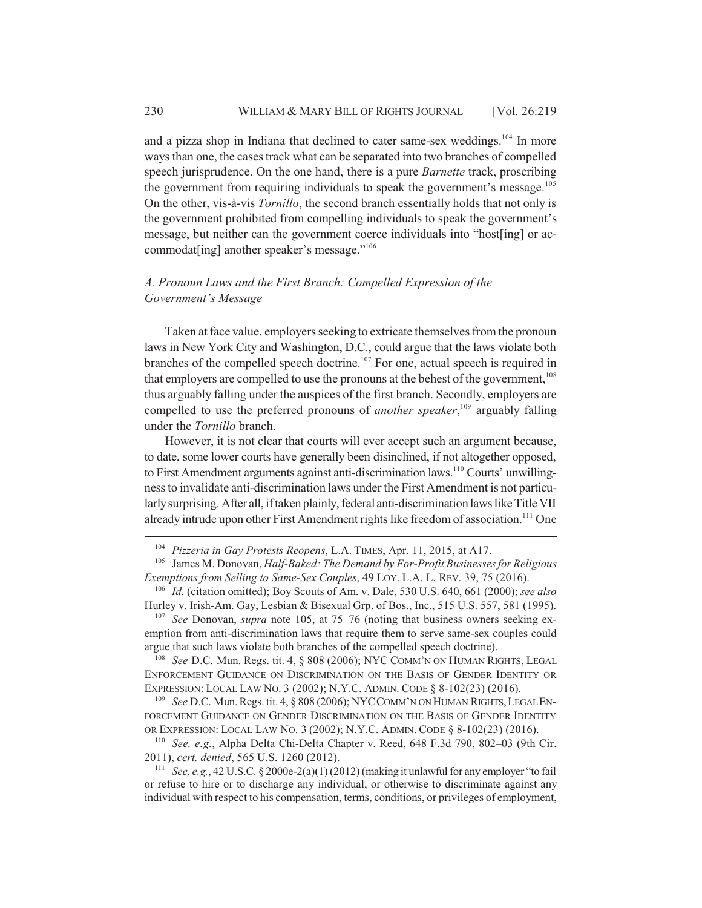and a pizza shop in Indiana that declined to cater same-sex weddings.<sup>104</sup> In more ways than one, the cases track what can be separated into two branches of compelled speech jurisprudence. On the one hand, there is a pure *Barnette* track, proscribing the government from requiring individuals to speak the government's message.<sup>105</sup> On the other, vis-à-vis *Tornillo*, the second branch essentially holds that not only is the government prohibited from compelling individuals to speak the government's message, but neither can the government coerce individuals into "host[ing] or accommodat[ing] another speaker's message."106

## *A. Pronoun Laws and the First Branch: Compelled Expression of the Government's Message*

Taken at face value, employers seeking to extricate themselves from the pronoun laws in New York City and Washington, D.C., could argue that the laws violate both branches of the compelled speech doctrine.<sup>107</sup> For one, actual speech is required in that employers are compelled to use the pronouns at the behest of the government,<sup>108</sup> thus arguably falling under the auspices of the first branch. Secondly, employers are compelled to use the preferred pronouns of *another speaker*, 109 arguably falling under the *Tornillo* branch.

However, it is not clear that courts will ever accept such an argument because, to date, some lower courts have generally been disinclined, if not altogether opposed, to First Amendment arguments against anti-discrimination laws.<sup>110</sup> Courts' unwillingness to invalidate anti-discrimination laws under the First Amendment is not particularly surprising. After all, if taken plainly, federal anti-discrimination laws like Title VII already intrude upon other First Amendment rights like freedom of association.<sup>111</sup> One

<sup>107</sup> *See* Donovan, *supra* note 105, at 75–76 (noting that business owners seeking exemption from anti-discrimination laws that require them to serve same-sex couples could argue that such laws violate both branches of the compelled speech doctrine).

<sup>108</sup> *See* D.C. Mun. Regs. tit. 4, § 808 (2006); NYC COMM'N ON HUMAN RIGHTS, LEGAL ENFORCEMENT GUIDANCE ON DISCRIMINATION ON THE BASIS OF GENDER IDENTITY OR EXPRESSION: LOCAL LAW NO. 3 (2002); N.Y.C. ADMIN. CODE § 8-102(23) (2016).

<sup>109</sup> *See* D.C. Mun. Regs. tit. 4, § 808 (2006); NYCCOMM'N ON HUMAN RIGHTS,LEGAL EN-FORCEMENT GUIDANCE ON GENDER DISCRIMINATION ON THE BASIS OF GENDER IDENTITY OR EXPRESSION: LOCAL LAW NO. 3 (2002); N.Y.C. ADMIN. CODE § 8-102(23) (2016).

<sup>110</sup> *See, e.g.*, Alpha Delta Chi-Delta Chapter v. Reed, 648 F.3d 790, 802–03 (9th Cir. 2011), *cert. denied*, 565 U.S. 1260 (2012).

<sup>111</sup> *See, e.g.*, 42 U.S.C. § 2000e-2(a)(1) (2012) (making it unlawful for any employer "to fail or refuse to hire or to discharge any individual, or otherwise to discriminate against any individual with respect to his compensation, terms, conditions, or privileges of employment,

<sup>104</sup> *Pizzeria in Gay Protests Reopens*, L.A. TIMES, Apr. 11, 2015, at A17.

<sup>105</sup> James M. Donovan, *Half-Baked: The Demand by For-Profit Businesses for Religious Exemptions from Selling to Same-Sex Couples*, 49 LOY. L.A. L. REV. 39, 75 (2016).

<sup>106</sup> *Id.* (citation omitted); Boy Scouts of Am. v. Dale, 530 U.S. 640, 661 (2000); *see also* Hurley v. Irish-Am. Gay, Lesbian & Bisexual Grp. of Bos., Inc., 515 U.S. 557, 581 (1995).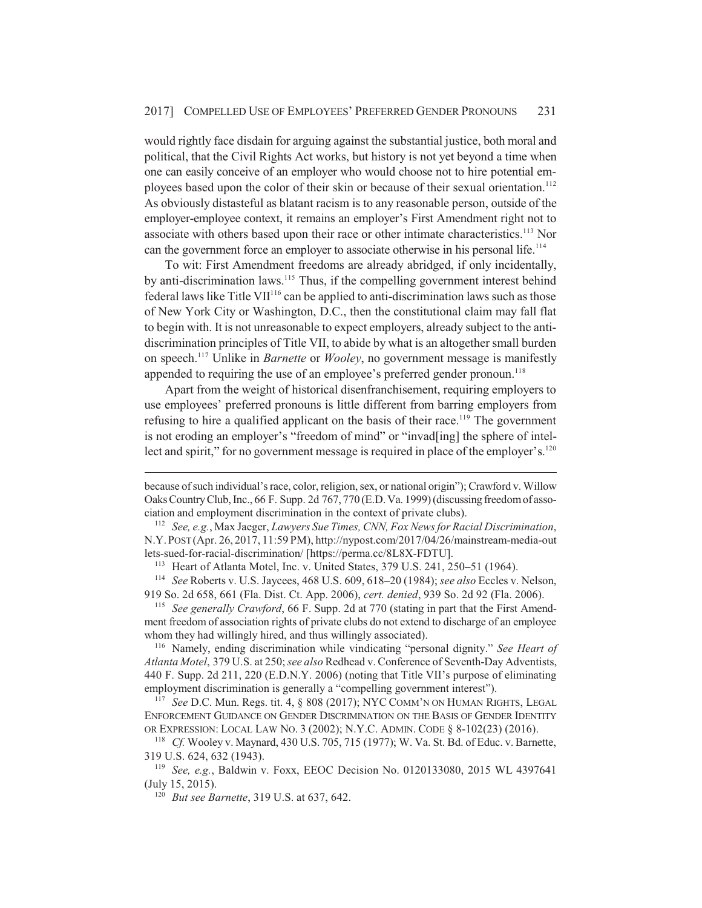would rightly face disdain for arguing against the substantial justice, both moral and political, that the Civil Rights Act works, but history is not yet beyond a time when one can easily conceive of an employer who would choose not to hire potential employees based upon the color of their skin or because of their sexual orientation.<sup>112</sup> As obviously distasteful as blatant racism is to any reasonable person, outside of the employer-employee context, it remains an employer's First Amendment right not to associate with others based upon their race or other intimate characteristics.<sup>113</sup> Nor can the government force an employer to associate otherwise in his personal life.<sup>114</sup>

To wit: First Amendment freedoms are already abridged, if only incidentally, by anti-discrimination laws.<sup>115</sup> Thus, if the compelling government interest behind federal laws like Title VII $116$  can be applied to anti-discrimination laws such as those of New York City or Washington, D.C., then the constitutional claim may fall flat to begin with. It is not unreasonable to expect employers, already subject to the antidiscrimination principles of Title VII, to abide by what is an altogether small burden on speech.117 Unlike in *Barnette* or *Wooley*, no government message is manifestly appended to requiring the use of an employee's preferred gender pronoun.<sup>118</sup>

Apart from the weight of historical disenfranchisement, requiring employers to use employees' preferred pronouns is little different from barring employers from refusing to hire a qualified applicant on the basis of their race.<sup>119</sup> The government is not eroding an employer's "freedom of mind" or "invad[ing] the sphere of intellect and spirit," for no government message is required in place of the employer's. $120$ 

<sup>113</sup> Heart of Atlanta Motel, Inc. v. United States, 379 U.S. 241, 250–51 (1964).

<sup>114</sup> *See* Roberts v. U.S. Jaycees, 468 U.S. 609, 618–20 (1984); *see also* Eccles v. Nelson, 919 So. 2d 658, 661 (Fla. Dist. Ct. App. 2006), *cert. denied*, 939 So. 2d 92 (Fla. 2006).

<sup>115</sup> *See generally Crawford*, 66 F. Supp. 2d at 770 (stating in part that the First Amendment freedom of association rights of private clubs do not extend to discharge of an employee whom they had willingly hired, and thus willingly associated).

<sup>116</sup> Namely, ending discrimination while vindicating "personal dignity." *See Heart of Atlanta Motel*, 379 U.S. at 250; *see also* Redhead v. Conference of Seventh-Day Adventists, 440 F. Supp. 2d 211, 220 (E.D.N.Y. 2006) (noting that Title VII's purpose of eliminating employment discrimination is generally a "compelling government interest").

<sup>117</sup> *See* D.C. Mun. Regs. tit. 4, § 808 (2017); NYC COMM'N ON HUMAN RIGHTS, LEGAL ENFORCEMENT GUIDANCE ON GENDER DISCRIMINATION ON THE BASIS OF GENDER IDENTITY OR EXPRESSION: LOCAL LAW NO. 3 (2002); N.Y.C. ADMIN. CODE § 8-102(23) (2016).

<sup>118</sup> *Cf.* Wooley v. Maynard, 430 U.S. 705, 715 (1977); W. Va. St. Bd. of Educ. v. Barnette, 319 U.S. 624, 632 (1943).

<sup>119</sup> *See, e.g.*, Baldwin v. Foxx, EEOC Decision No. 0120133080, 2015 WL 4397641 (July 15, 2015).

<sup>120</sup> *But see Barnette*, 319 U.S. at 637, 642.

because of such individual's race, color, religion, sex, or national origin"); Crawford v. Willow Oaks Country Club, Inc., 66 F. Supp. 2d 767, 770 (E.D. Va. 1999) (discussing freedom of association and employment discrimination in the context of private clubs).

<sup>112</sup> *See, e.g.*, Max Jaeger, *Lawyers Sue Times, CNN, Fox News for Racial Discrimination*, N.Y.POST (Apr. 26, 2017, 11:59 PM), http://nypost.com/2017/04/26/mainstream-media-out lets-sued-for-racial-discrimination/ [https://perma.cc/8L8X-FDTU].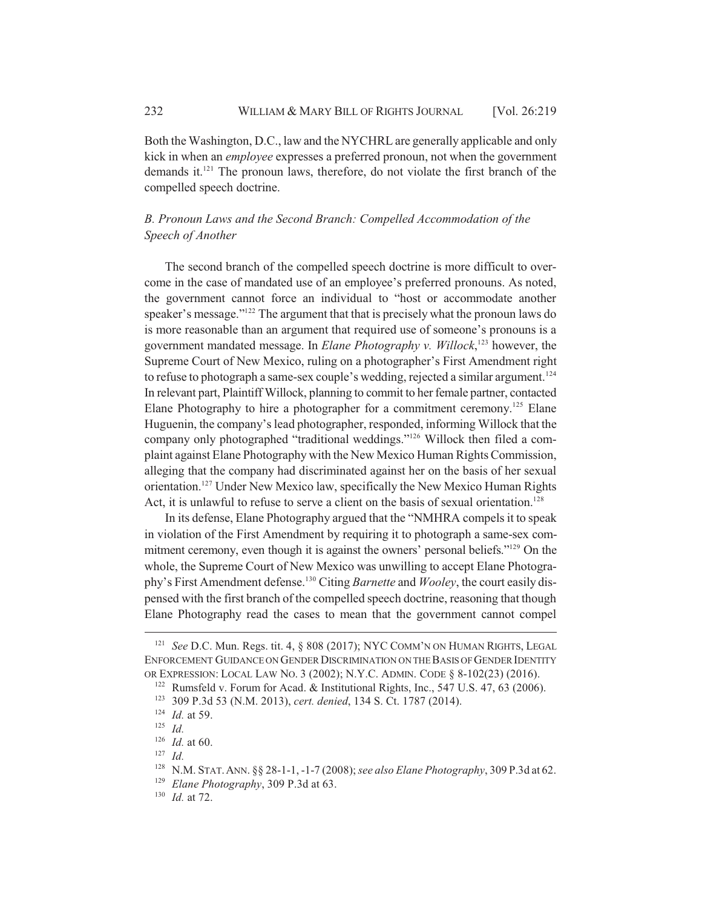Both the Washington, D.C., law and the NYCHRL are generally applicable and only kick in when an *employee* expresses a preferred pronoun, not when the government demands it.<sup>121</sup> The pronoun laws, therefore, do not violate the first branch of the compelled speech doctrine.

## *B. Pronoun Laws and the Second Branch: Compelled Accommodation of the Speech of Another*

The second branch of the compelled speech doctrine is more difficult to overcome in the case of mandated use of an employee's preferred pronouns. As noted, the government cannot force an individual to "host or accommodate another speaker's message."122 The argument that that is precisely what the pronoun laws do is more reasonable than an argument that required use of someone's pronouns is a government mandated message. In *Elane Photography v. Willock*, 123 however, the Supreme Court of New Mexico, ruling on a photographer's First Amendment right to refuse to photograph a same-sex couple's wedding, rejected a similar argument.<sup>124</sup> In relevant part, Plaintiff Willock, planning to commit to her female partner, contacted Elane Photography to hire a photographer for a commitment ceremony.<sup>125</sup> Elane Huguenin, the company's lead photographer, responded, informing Willock that the company only photographed "traditional weddings."126 Willock then filed a complaint against Elane Photography with the New Mexico Human Rights Commission, alleging that the company had discriminated against her on the basis of her sexual orientation.127 Under New Mexico law, specifically the New Mexico Human Rights Act, it is unlawful to refuse to serve a client on the basis of sexual orientation.<sup>128</sup>

In its defense, Elane Photography argued that the "NMHRA compels it to speak in violation of the First Amendment by requiring it to photograph a same-sex commitment ceremony, even though it is against the owners' personal beliefs."129 On the whole, the Supreme Court of New Mexico was unwilling to accept Elane Photography's First Amendment defense.130 Citing *Barnette* and *Wooley*, the court easily dispensed with the first branch of the compelled speech doctrine, reasoning that though Elane Photography read the cases to mean that the government cannot compel

<sup>127</sup> *Id.*

<sup>121</sup> *See* D.C. Mun. Regs. tit. 4, § 808 (2017); NYC COMM'N ON HUMAN RIGHTS, LEGAL ENFORCEMENT GUIDANCE ON GENDER DISCRIMINATION ON THE BASIS OF GENDER IDENTITY OR EXPRESSION: LOCAL LAW NO. 3 (2002); N.Y.C. ADMIN. CODE § 8-102(23) (2016).

<sup>&</sup>lt;sup>122</sup> Rumsfeld v. Forum for Acad. & Institutional Rights, Inc., 547 U.S. 47, 63 (2006).

<sup>123</sup> 309 P.3d 53 (N.M. 2013), *cert. denied*, 134 S. Ct. 1787 (2014).

<sup>124</sup> *Id.* at 59.

<sup>125</sup> *Id.*

<sup>126</sup> *Id.* at 60.

<sup>128</sup> N.M. STAT.ANN. §§ 28-1-1, -1-7 (2008); *see also Elane Photography*, 309 P.3d at 62.

<sup>129</sup> *Elane Photography*, 309 P.3d at 63.

<sup>130</sup> *Id.* at 72.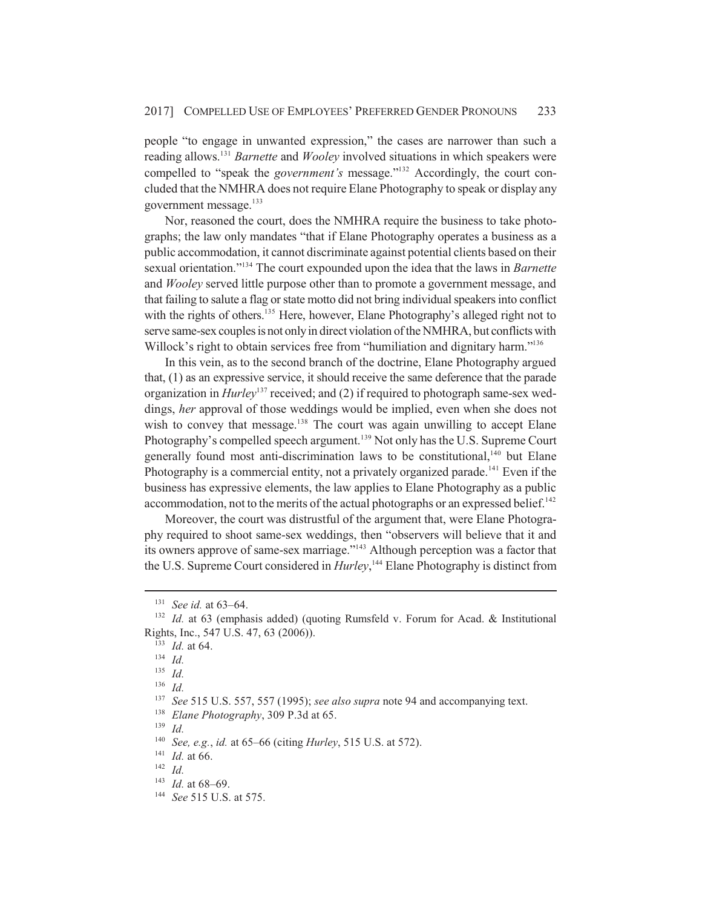people "to engage in unwanted expression," the cases are narrower than such a reading allows.131 *Barnette* and *Wooley* involved situations in which speakers were compelled to "speak the *government's* message."<sup>132</sup> Accordingly, the court concluded that the NMHRA does not require Elane Photography to speak or display any government message.<sup>133</sup>

Nor, reasoned the court, does the NMHRA require the business to take photographs; the law only mandates "that if Elane Photography operates a business as a public accommodation, it cannot discriminate against potential clients based on their sexual orientation."134 The court expounded upon the idea that the laws in *Barnette* and *Wooley* served little purpose other than to promote a government message, and that failing to salute a flag or state motto did not bring individual speakers into conflict with the rights of others.<sup>135</sup> Here, however, Elane Photography's alleged right not to serve same-sex couples is not only in direct violation of the NMHRA, but conflicts with Willock's right to obtain services free from "humiliation and dignitary harm."<sup>136</sup>

In this vein, as to the second branch of the doctrine, Elane Photography argued that, (1) as an expressive service, it should receive the same deference that the parade organization in *Hurley*137 received; and (2) if required to photograph same-sex weddings, *her* approval of those weddings would be implied, even when she does not wish to convey that message.<sup>138</sup> The court was again unwilling to accept Elane Photography's compelled speech argument.<sup>139</sup> Not only has the U.S. Supreme Court generally found most anti-discrimination laws to be constitutional,<sup>140</sup> but Elane Photography is a commercial entity, not a privately organized parade.<sup>141</sup> Even if the business has expressive elements, the law applies to Elane Photography as a public accommodation, not to the merits of the actual photographs or an expressed belief.<sup>142</sup>

Moreover, the court was distrustful of the argument that, were Elane Photography required to shoot same-sex weddings, then "observers will believe that it and its owners approve of same-sex marriage."143 Although perception was a factor that the U.S. Supreme Court considered in *Hurley*, 144 Elane Photography is distinct from

<sup>138</sup> *Elane Photography*, 309 P.3d at 65.

<sup>140</sup> *See, e.g.*, *id.* at 65–66 (citing *Hurley*, 515 U.S. at 572).

<sup>131</sup> *See id.* at 63–64.

<sup>&</sup>lt;sup>132</sup> *Id.* at 63 (emphasis added) (quoting Rumsfeld v. Forum for Acad. & Institutional Rights, Inc., 547 U.S. 47, 63 (2006)).

<sup>133</sup> *Id.* at 64.

<sup>134</sup> *Id.*

<sup>135</sup> *Id.*

 $\frac{136}{137}$  *Id.* 

See 515 U.S. 557, 557 (1995); *see also supra* note 94 and accompanying text.

<sup>139</sup> *Id.*

<sup>141</sup> *Id.* at 66.

<sup>142</sup> *Id.*

<sup>143</sup> *Id.* at 68–69.

<sup>144</sup> *See* 515 U.S. at 575.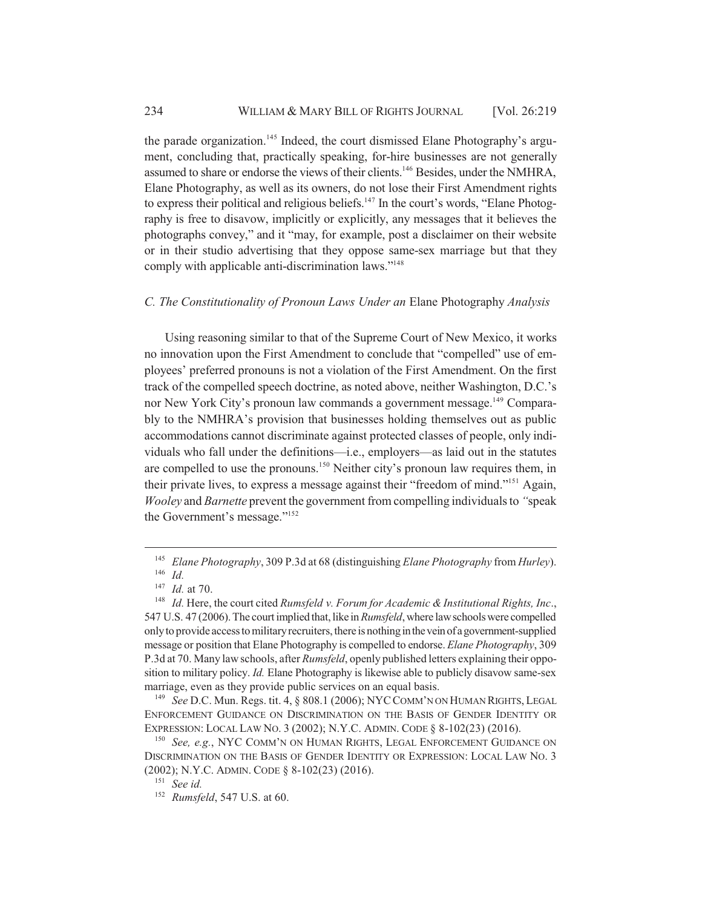the parade organization.<sup>145</sup> Indeed, the court dismissed Elane Photography's argument, concluding that, practically speaking, for-hire businesses are not generally assumed to share or endorse the views of their clients.<sup>146</sup> Besides, under the NMHRA, Elane Photography, as well as its owners, do not lose their First Amendment rights to express their political and religious beliefs.<sup>147</sup> In the court's words, "Elane Photography is free to disavow, implicitly or explicitly, any messages that it believes the photographs convey," and it "may, for example, post a disclaimer on their website or in their studio advertising that they oppose same-sex marriage but that they comply with applicable anti-discrimination laws."<sup>148</sup>

#### *C. The Constitutionality of Pronoun Laws Under an* Elane Photography *Analysis*

Using reasoning similar to that of the Supreme Court of New Mexico, it works no innovation upon the First Amendment to conclude that "compelled" use of employees' preferred pronouns is not a violation of the First Amendment. On the first track of the compelled speech doctrine, as noted above, neither Washington, D.C.'s nor New York City's pronoun law commands a government message.<sup>149</sup> Comparably to the NMHRA's provision that businesses holding themselves out as public accommodations cannot discriminate against protected classes of people, only individuals who fall under the definitions—i.e., employers—as laid out in the statutes are compelled to use the pronouns.<sup>150</sup> Neither city's pronoun law requires them, in their private lives, to express a message against their "freedom of mind."151 Again, *Wooley* and *Barnette* prevent the government from compelling individuals to *"*speak the Government's message."152

<sup>149</sup> *See* D.C. Mun. Regs. tit. 4, § 808.1 (2006); NYCCOMM'N ON HUMAN RIGHTS, LEGAL ENFORCEMENT GUIDANCE ON DISCRIMINATION ON THE BASIS OF GENDER IDENTITY OR EXPRESSION: LOCAL LAW NO. 3 (2002); N.Y.C. ADMIN. CODE § 8-102(23) (2016).

<sup>145</sup> *Elane Photography*, 309 P.3d at 68 (distinguishing *Elane Photography* from *Hurley*). <sup>146</sup> *Id.*

<sup>147</sup> *Id.* at 70.

<sup>148</sup> *Id.* Here, the court cited *Rumsfeld v. Forum for Academic & Institutional Rights, Inc*., 547 U.S. 47 (2006). The court implied that, like in *Rumsfeld*, where law schools were compelled only to provide access to military recruiters, there is nothing in the vein of a government-supplied message or position that Elane Photography is compelled to endorse. *Elane Photography*, 309 P.3d at 70. Many law schools, after *Rumsfeld*, openly published letters explaining their opposition to military policy. *Id.* Elane Photography is likewise able to publicly disavow same-sex marriage, even as they provide public services on an equal basis.

<sup>150</sup> *See, e.g.*, NYC COMM'N ON HUMAN RIGHTS, LEGAL ENFORCEMENT GUIDANCE ON DISCRIMINATION ON THE BASIS OF GENDER IDENTITY OR EXPRESSION: LOCAL LAW NO. 3 (2002); N.Y.C. ADMIN. CODE § 8-102(23) (2016).

<sup>151</sup> *See id.*

<sup>152</sup> *Rumsfeld*, 547 U.S. at 60.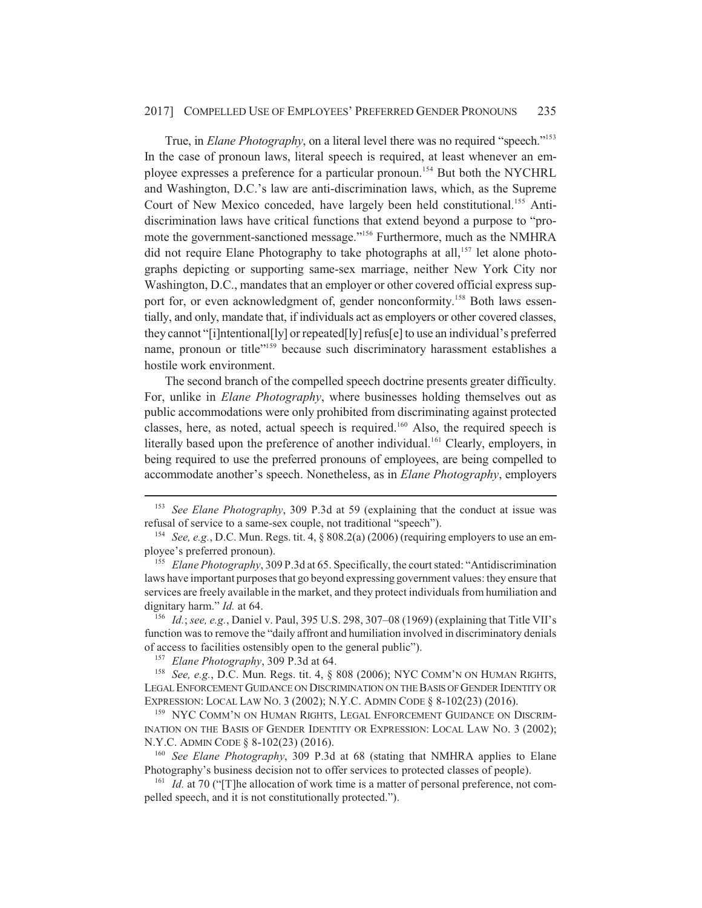#### 2017] COMPELLED USE OF EMPLOYEES' PREFERRED GENDER PRONOUNS 235

True, in *Elane Photography*, on a literal level there was no required "speech."<sup>153</sup> In the case of pronoun laws, literal speech is required, at least whenever an employee expresses a preference for a particular pronoun.<sup>154</sup> But both the NYCHRL and Washington, D.C.'s law are anti-discrimination laws, which, as the Supreme Court of New Mexico conceded, have largely been held constitutional.<sup>155</sup> Antidiscrimination laws have critical functions that extend beyond a purpose to "promote the government-sanctioned message."156 Furthermore, much as the NMHRA did not require Elane Photography to take photographs at all,<sup>157</sup> let alone photographs depicting or supporting same-sex marriage, neither New York City nor Washington, D.C., mandates that an employer or other covered official express support for, or even acknowledgment of, gender nonconformity.<sup>158</sup> Both laws essentially, and only, mandate that, if individuals act as employers or other covered classes, they cannot "[i]ntentional[ly] or repeated[ly] refus[e] to use an individual's preferred name, pronoun or title<sup>"159</sup> because such discriminatory harassment establishes a hostile work environment.

The second branch of the compelled speech doctrine presents greater difficulty. For, unlike in *Elane Photography*, where businesses holding themselves out as public accommodations were only prohibited from discriminating against protected classes, here, as noted, actual speech is required. $160$  Also, the required speech is literally based upon the preference of another individual.<sup>161</sup> Clearly, employers, in being required to use the preferred pronouns of employees, are being compelled to accommodate another's speech. Nonetheless, as in *Elane Photography*, employers

<sup>156</sup> *Id.*; *see, e.g.*, Daniel v. Paul, 395 U.S. 298, 307–08 (1969) (explaining that Title VII's function was to remove the "daily affront and humiliation involved in discriminatory denials of access to facilities ostensibly open to the general public").

<sup>157</sup> *Elane Photography*, 309 P.3d at 64.

<sup>158</sup> *See, e.g.*, D.C. Mun. Regs. tit. 4, § 808 (2006); NYC COMM'N ON HUMAN RIGHTS, LEGAL ENFORCEMENT GUIDANCE ON DISCRIMINATION ON THE BASIS OF GENDER IDENTITY OR EXPRESSION: LOCAL LAW NO. 3 (2002); N.Y.C. ADMIN CODE § 8-102(23) (2016).

<sup>159</sup> NYC COMM'N ON HUMAN RIGHTS, LEGAL ENFORCEMENT GUIDANCE ON DISCRIM-INATION ON THE BASIS OF GENDER IDENTITY OR EXPRESSION: LOCAL LAW NO. 3 (2002); N.Y.C. ADMIN CODE § 8-102(23) (2016).

<sup>160</sup> *See Elane Photography*, 309 P.3d at 68 (stating that NMHRA applies to Elane Photography's business decision not to offer services to protected classes of people).

<sup>161</sup> *Id.* at 70 ("The allocation of work time is a matter of personal preference, not compelled speech, and it is not constitutionally protected.").

<sup>153</sup> *See Elane Photography*, 309 P.3d at 59 (explaining that the conduct at issue was refusal of service to a same-sex couple, not traditional "speech").

<sup>154</sup> *See, e.g.*, D.C. Mun. Regs. tit. 4, § 808.2(a) (2006) (requiring employers to use an employee's preferred pronoun).

<sup>&</sup>lt;sup>155</sup> *Elane Photography*, 309 P.3d at 65. Specifically, the court stated: "Antidiscrimination laws have important purposes that go beyond expressing government values: they ensure that services are freely available in the market, and they protect individuals from humiliation and dignitary harm." *Id.* at 64.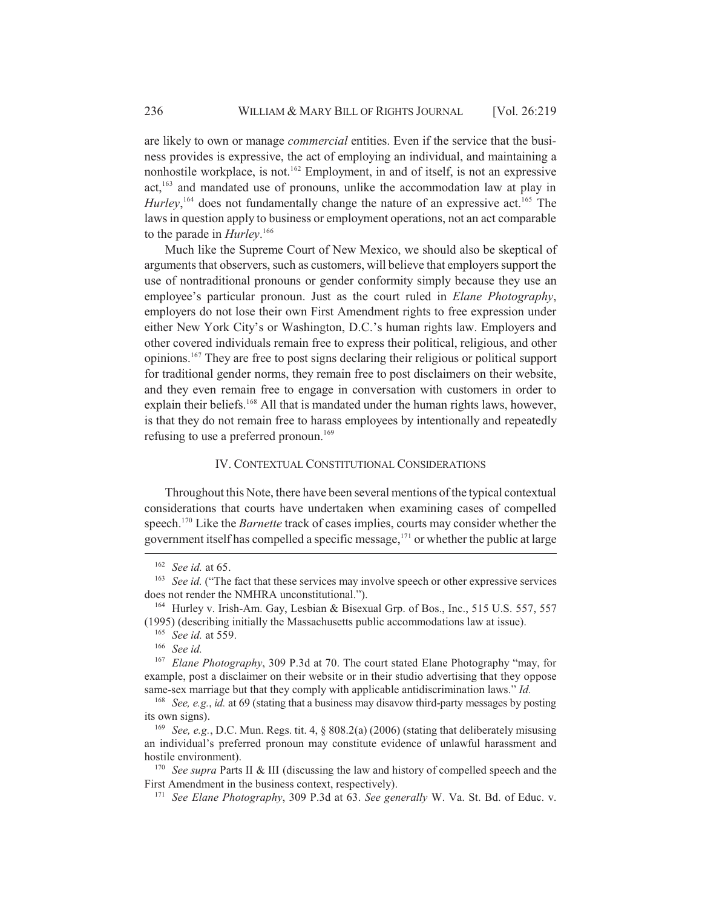are likely to own or manage *commercial* entities. Even if the service that the business provides is expressive, the act of employing an individual, and maintaining a nonhostile workplace, is not.<sup>162</sup> Employment, in and of itself, is not an expressive act,163 and mandated use of pronouns, unlike the accommodation law at play in *Hurley*,<sup>164</sup> does not fundamentally change the nature of an expressive act.<sup>165</sup> The laws in question apply to business or employment operations, not an act comparable to the parade in *Hurley*. 166

Much like the Supreme Court of New Mexico, we should also be skeptical of arguments that observers, such as customers, will believe that employers support the use of nontraditional pronouns or gender conformity simply because they use an employee's particular pronoun. Just as the court ruled in *Elane Photography*, employers do not lose their own First Amendment rights to free expression under either New York City's or Washington, D.C.'s human rights law. Employers and other covered individuals remain free to express their political, religious, and other opinions.<sup>167</sup> They are free to post signs declaring their religious or political support for traditional gender norms, they remain free to post disclaimers on their website, and they even remain free to engage in conversation with customers in order to explain their beliefs.<sup>168</sup> All that is mandated under the human rights laws, however, is that they do not remain free to harass employees by intentionally and repeatedly refusing to use a preferred pronoun.<sup>169</sup>

#### IV. CONTEXTUAL CONSTITUTIONAL CONSIDERATIONS

Throughout this Note, there have been several mentions of the typical contextual considerations that courts have undertaken when examining cases of compelled speech.170 Like the *Barnette* track of cases implies, courts may consider whether the government itself has compelled a specific message, $171$  or whether the public at large

<sup>162</sup> *See id.* at 65.

<sup>&</sup>lt;sup>163</sup> *See id.* ("The fact that these services may involve speech or other expressive services does not render the NMHRA unconstitutional.").

<sup>164</sup> Hurley v. Irish-Am. Gay, Lesbian & Bisexual Grp. of Bos., Inc., 515 U.S. 557, 557 (1995) (describing initially the Massachusetts public accommodations law at issue).

<sup>165</sup> *See id.* at 559.

<sup>166</sup> *See id.*

<sup>167</sup> *Elane Photography*, 309 P.3d at 70. The court stated Elane Photography "may, for example, post a disclaimer on their website or in their studio advertising that they oppose same-sex marriage but that they comply with applicable antidiscrimination laws." *Id.*

<sup>168</sup> *See, e.g.*, *id.* at 69 (stating that a business may disavow third-party messages by posting its own signs).

<sup>169</sup> *See, e.g.*, D.C. Mun. Regs. tit. 4, § 808.2(a) (2006) (stating that deliberately misusing an individual's preferred pronoun may constitute evidence of unlawful harassment and hostile environment).

<sup>&</sup>lt;sup>170</sup> *See supra* Parts II & III (discussing the law and history of compelled speech and the First Amendment in the business context, respectively).

<sup>171</sup> *See Elane Photography*, 309 P.3d at 63. *See generally* W. Va. St. Bd. of Educ. v.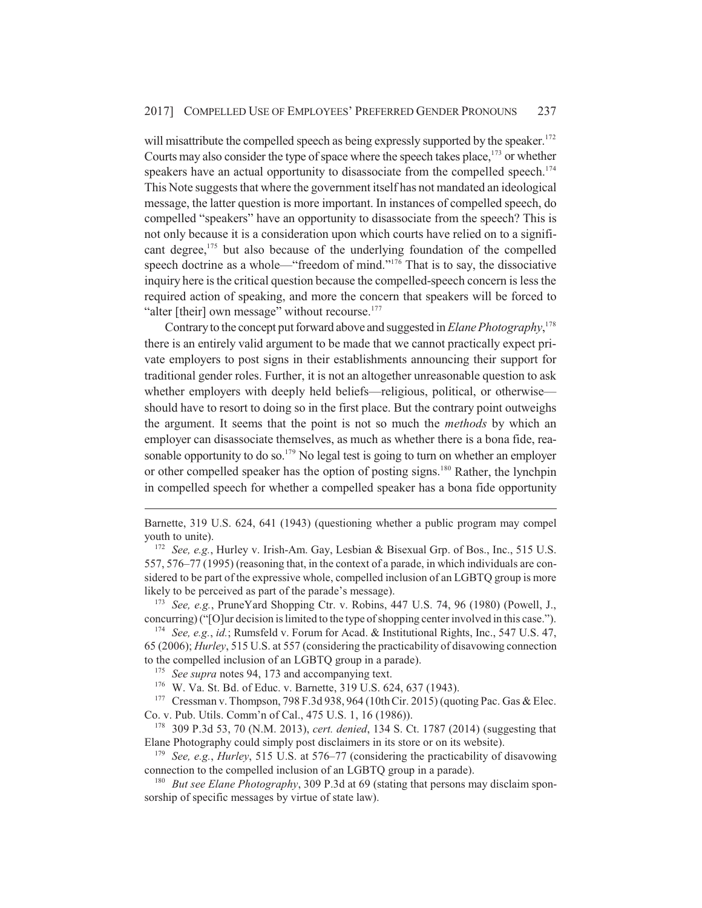will misattribute the compelled speech as being expressly supported by the speaker.<sup>172</sup> Courts may also consider the type of space where the speech takes place, $1^{73}$  or whether speakers have an actual opportunity to disassociate from the compelled speech.<sup>174</sup> This Note suggests that where the government itself has not mandated an ideological message, the latter question is more important. In instances of compelled speech, do compelled "speakers" have an opportunity to disassociate from the speech? This is not only because it is a consideration upon which courts have relied on to a significant degree,<sup>175</sup> but also because of the underlying foundation of the compelled speech doctrine as a whole—"freedom of mind."<sup>176</sup> That is to say, the dissociative inquiry here is the critical question because the compelled-speech concern is less the required action of speaking, and more the concern that speakers will be forced to "alter [their] own message" without recourse.<sup>177</sup>

Contrary to the concept put forward above and suggested in *Elane Photography*, 178 there is an entirely valid argument to be made that we cannot practically expect private employers to post signs in their establishments announcing their support for traditional gender roles. Further, it is not an altogether unreasonable question to ask whether employers with deeply held beliefs—religious, political, or otherwise should have to resort to doing so in the first place. But the contrary point outweighs the argument. It seems that the point is not so much the *methods* by which an employer can disassociate themselves, as much as whether there is a bona fide, reasonable opportunity to do so.<sup>179</sup> No legal test is going to turn on whether an employer or other compelled speaker has the option of posting signs.<sup>180</sup> Rather, the lynchpin in compelled speech for whether a compelled speaker has a bona fide opportunity

<sup>173</sup> *See, e.g.*, PruneYard Shopping Ctr. v. Robins, 447 U.S. 74, 96 (1980) (Powell, J., concurring) ("[O]ur decision is limited to the type of shopping center involved in this case.").

<sup>174</sup> *See, e.g.*, *id.*; Rumsfeld v. Forum for Acad. & Institutional Rights, Inc., 547 U.S. 47, 65 (2006); *Hurley*, 515 U.S. at 557 (considering the practicability of disavowing connection to the compelled inclusion of an LGBTQ group in a parade).

<sup>175</sup> *See supra* notes 94, 173 and accompanying text.

<sup>176</sup> W. Va. St. Bd. of Educ. v. Barnette, 319 U.S. 624, 637 (1943).

<sup>177</sup> Cressman v. Thompson, 798 F.3d 938, 964 (10th Cir. 2015) (quoting Pac. Gas & Elec. Co. v. Pub. Utils. Comm'n of Cal., 475 U.S. 1, 16 (1986)).

<sup>178</sup> 309 P.3d 53, 70 (N.M. 2013), *cert. denied*, 134 S. Ct. 1787 (2014) (suggesting that Elane Photography could simply post disclaimers in its store or on its website).

<sup>179</sup> *See, e.g.*, *Hurley*, 515 U.S. at 576–77 (considering the practicability of disavowing connection to the compelled inclusion of an LGBTQ group in a parade).

<sup>180</sup> *But see Elane Photography*, 309 P.3d at 69 (stating that persons may disclaim sponsorship of specific messages by virtue of state law).

Barnette, 319 U.S. 624, 641 (1943) (questioning whether a public program may compel youth to unite).

<sup>172</sup> *See, e.g.*, Hurley v. Irish-Am. Gay, Lesbian & Bisexual Grp. of Bos., Inc., 515 U.S. 557, 576–77 (1995) (reasoning that, in the context of a parade, in which individuals are considered to be part of the expressive whole, compelled inclusion of an LGBTQ group is more likely to be perceived as part of the parade's message).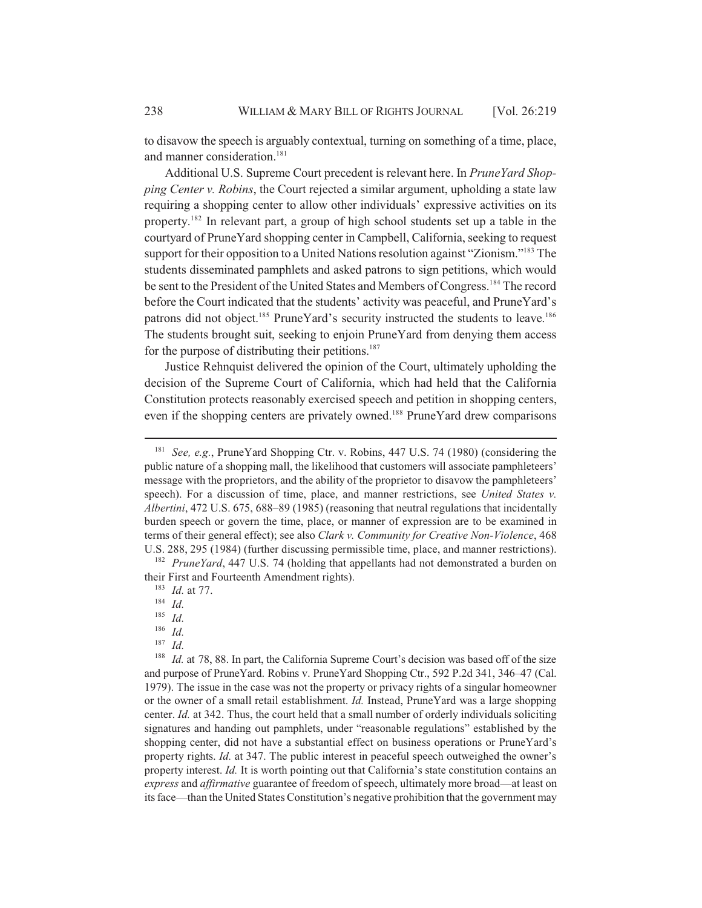to disavow the speech is arguably contextual, turning on something of a time, place, and manner consideration.<sup>181</sup>

Additional U.S. Supreme Court precedent is relevant here. In *PruneYard Shopping Center v. Robins*, the Court rejected a similar argument, upholding a state law requiring a shopping center to allow other individuals' expressive activities on its property.182 In relevant part, a group of high school students set up a table in the courtyard of PruneYard shopping center in Campbell, California, seeking to request support for their opposition to a United Nations resolution against "Zionism."<sup>183</sup> The students disseminated pamphlets and asked patrons to sign petitions, which would be sent to the President of the United States and Members of Congress.<sup>184</sup> The record before the Court indicated that the students' activity was peaceful, and PruneYard's patrons did not object.<sup>185</sup> PruneYard's security instructed the students to leave.<sup>186</sup> The students brought suit, seeking to enjoin PruneYard from denying them access for the purpose of distributing their petitions.<sup>187</sup>

Justice Rehnquist delivered the opinion of the Court, ultimately upholding the decision of the Supreme Court of California, which had held that the California Constitution protects reasonably exercised speech and petition in shopping centers, even if the shopping centers are privately owned.<sup>188</sup> PruneYard drew comparisons

<sup>181</sup> *See, e.g.*, PruneYard Shopping Ctr. v. Robins, 447 U.S. 74 (1980) (considering the public nature of a shopping mall, the likelihood that customers will associate pamphleteers' message with the proprietors, and the ability of the proprietor to disavow the pamphleteers' speech). For a discussion of time, place, and manner restrictions, see *United States v. Albertini*, 472 U.S. 675, 688–89 (1985) (reasoning that neutral regulations that incidentally burden speech or govern the time, place, or manner of expression are to be examined in terms of their general effect); see also *Clark v. Community for Creative Non-Violence*, 468 U.S. 288, 295 (1984) (further discussing permissible time, place, and manner restrictions).

<sup>182</sup> *PruneYard*, 447 U.S. 74 (holding that appellants had not demonstrated a burden on their First and Fourteenth Amendment rights).

<sup>183</sup> *Id.* at 77.

<sup>184</sup> *Id.*

<sup>185</sup> *Id.*

 $\frac{186}{187}$  *Id.* 

*Id.* 

<sup>&</sup>lt;sup>188</sup> *Id.* at 78, 88. In part, the California Supreme Court's decision was based off of the size and purpose of PruneYard. Robins v. PruneYard Shopping Ctr., 592 P.2d 341, 346–47 (Cal. 1979). The issue in the case was not the property or privacy rights of a singular homeowner or the owner of a small retail establishment. *Id.* Instead, PruneYard was a large shopping center. *Id.* at 342. Thus, the court held that a small number of orderly individuals soliciting signatures and handing out pamphlets, under "reasonable regulations" established by the shopping center, did not have a substantial effect on business operations or PruneYard's property rights. *Id.* at 347. The public interest in peaceful speech outweighed the owner's property interest. *Id.* It is worth pointing out that California's state constitution contains an *express* and *affirmative* guarantee of freedom of speech, ultimately more broad—at least on its face—than the United States Constitution's negative prohibition that the government may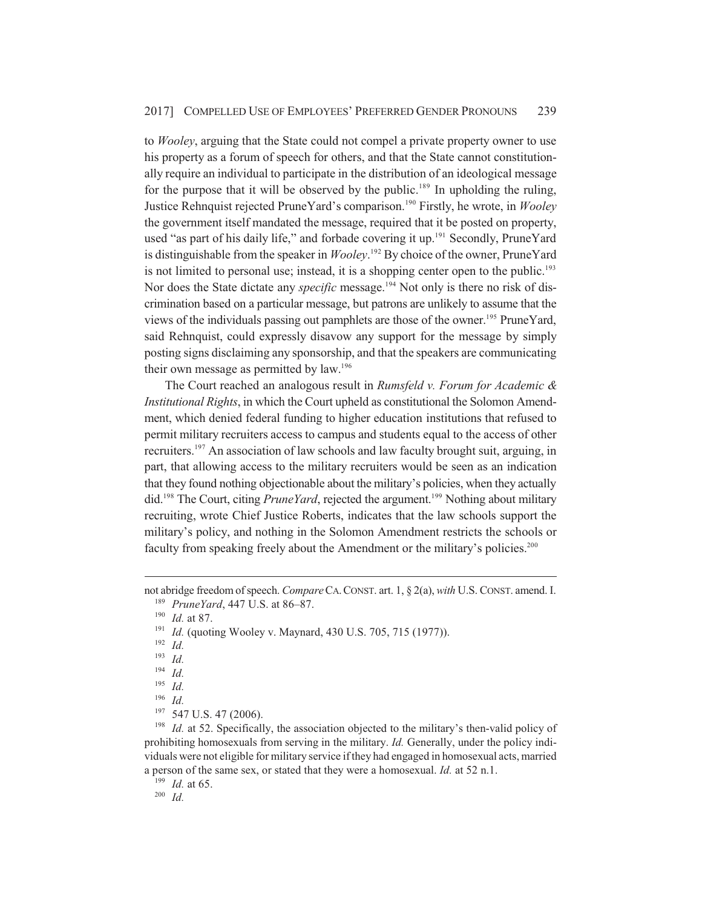to *Wooley*, arguing that the State could not compel a private property owner to use his property as a forum of speech for others, and that the State cannot constitutionally require an individual to participate in the distribution of an ideological message for the purpose that it will be observed by the public.<sup>189</sup> In upholding the ruling, Justice Rehnquist rejected PruneYard's comparison.190 Firstly, he wrote, in *Wooley* the government itself mandated the message, required that it be posted on property, used "as part of his daily life," and forbade covering it up.<sup>191</sup> Secondly, PruneYard is distinguishable from the speaker in *Wooley*. 192 By choice of the owner, PruneYard is not limited to personal use; instead, it is a shopping center open to the public. $193$ Nor does the State dictate any *specific* message.<sup>194</sup> Not only is there no risk of discrimination based on a particular message, but patrons are unlikely to assume that the views of the individuals passing out pamphlets are those of the owner.195 PruneYard, said Rehnquist, could expressly disavow any support for the message by simply posting signs disclaiming any sponsorship, and that the speakers are communicating their own message as permitted by law.<sup>196</sup>

The Court reached an analogous result in *Rumsfeld v. Forum for Academic & Institutional Rights*, in which the Court upheld as constitutional the Solomon Amendment, which denied federal funding to higher education institutions that refused to permit military recruiters access to campus and students equal to the access of other recruiters.<sup>197</sup> An association of law schools and law faculty brought suit, arguing, in part, that allowing access to the military recruiters would be seen as an indication that they found nothing objectionable about the military's policies, when they actually did.198 The Court, citing *PruneYard*, rejected the argument.199 Nothing about military recruiting, wrote Chief Justice Roberts, indicates that the law schools support the military's policy, and nothing in the Solomon Amendment restricts the schools or faculty from speaking freely about the Amendment or the military's policies.<sup>200</sup>

<sup>190</sup> *Id.* at 87.

<sup>192</sup> *Id.*

 $\frac{194}{195}$  *Id.* 

*Id.* 

<sup>198</sup> *Id.* at 52. Specifically, the association objected to the military's then-valid policy of prohibiting homosexuals from serving in the military. *Id.* Generally, under the policy individuals were not eligible for military service if they had engaged in homosexual acts, married a person of the same sex, or stated that they were a homosexual. *Id.* at 52 n.1.

<sup>199</sup> *Id.* at 65.

<sup>200</sup> *Id.*

not abridge freedom of speech. *Compare*CA.CONST. art. 1, § 2(a), *with* U.S. CONST. amend. I. <sup>189</sup> *PruneYard*, 447 U.S. at 86–87.

<sup>&</sup>lt;sup>191</sup> *Id.* (quoting Wooley v. Maynard, 430 U.S. 705, 715 (1977)).

<sup>193</sup> *Id.*

 $\frac{195}{196}$  *Id.* 

<sup>197</sup> 547 U.S. 47 (2006).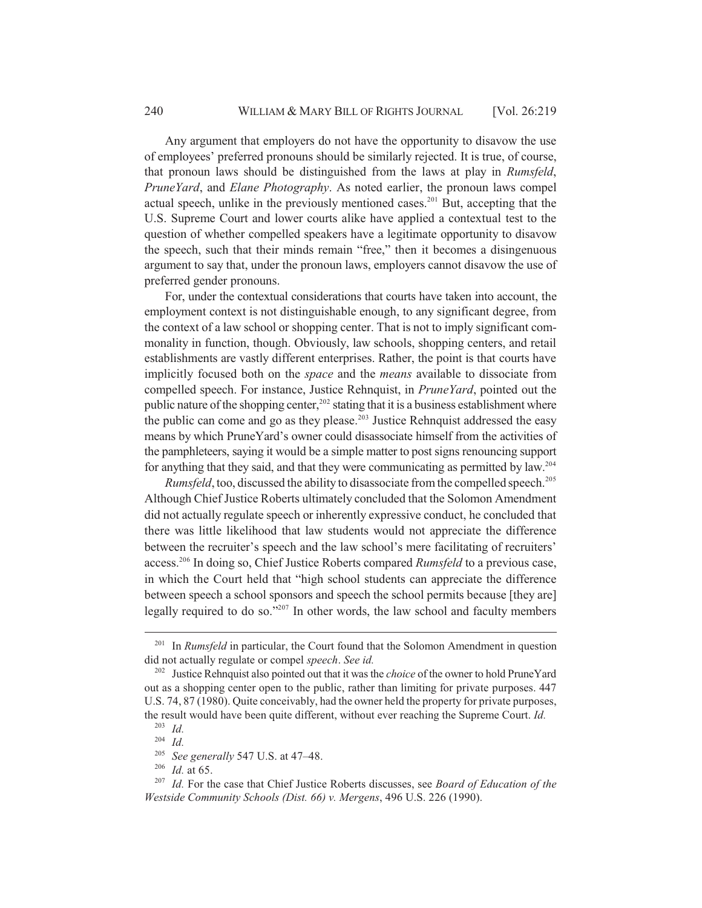Any argument that employers do not have the opportunity to disavow the use of employees' preferred pronouns should be similarly rejected. It is true, of course, that pronoun laws should be distinguished from the laws at play in *Rumsfeld*, *PruneYard*, and *Elane Photography*. As noted earlier, the pronoun laws compel actual speech, unlike in the previously mentioned cases.<sup>201</sup> But, accepting that the U.S. Supreme Court and lower courts alike have applied a contextual test to the question of whether compelled speakers have a legitimate opportunity to disavow the speech, such that their minds remain "free," then it becomes a disingenuous argument to say that, under the pronoun laws, employers cannot disavow the use of preferred gender pronouns.

For, under the contextual considerations that courts have taken into account, the employment context is not distinguishable enough, to any significant degree, from the context of a law school or shopping center. That is not to imply significant commonality in function, though. Obviously, law schools, shopping centers, and retail establishments are vastly different enterprises. Rather, the point is that courts have implicitly focused both on the *space* and the *means* available to dissociate from compelled speech. For instance, Justice Rehnquist, in *PruneYard*, pointed out the public nature of the shopping center,<sup>202</sup> stating that it is a business establishment where the public can come and go as they please.<sup>203</sup> Justice Rehnquist addressed the easy means by which PruneYard's owner could disassociate himself from the activities of the pamphleteers, saying it would be a simple matter to post signs renouncing support for anything that they said, and that they were communicating as permitted by law.204

*Rumsfeld*, too, discussed the ability to disassociate from the compelled speech.<sup>205</sup> Although Chief Justice Roberts ultimately concluded that the Solomon Amendment did not actually regulate speech or inherently expressive conduct, he concluded that there was little likelihood that law students would not appreciate the difference between the recruiter's speech and the law school's mere facilitating of recruiters' access.206 In doing so, Chief Justice Roberts compared *Rumsfeld* to a previous case, in which the Court held that "high school students can appreciate the difference between speech a school sponsors and speech the school permits because [they are] legally required to do so."207 In other words, the law school and faculty members

<sup>201</sup> In *Rumsfeld* in particular, the Court found that the Solomon Amendment in question did not actually regulate or compel *speech*. *See id.*

<sup>202</sup> Justice Rehnquist also pointed out that it was the *choice* of the owner to hold PruneYard out as a shopping center open to the public, rather than limiting for private purposes. 447 U.S. 74, 87 (1980). Quite conceivably, had the owner held the property for private purposes, the result would have been quite different, without ever reaching the Supreme Court. *Id.*

<sup>203</sup> *Id.*

<sup>204</sup> *Id.*

<sup>205</sup> *See generally* 547 U.S. at 47–48.

<sup>206</sup> *Id.* at 65.

<sup>207</sup> *Id.* For the case that Chief Justice Roberts discusses, see *Board of Education of the Westside Community Schools (Dist. 66) v. Mergens*, 496 U.S. 226 (1990).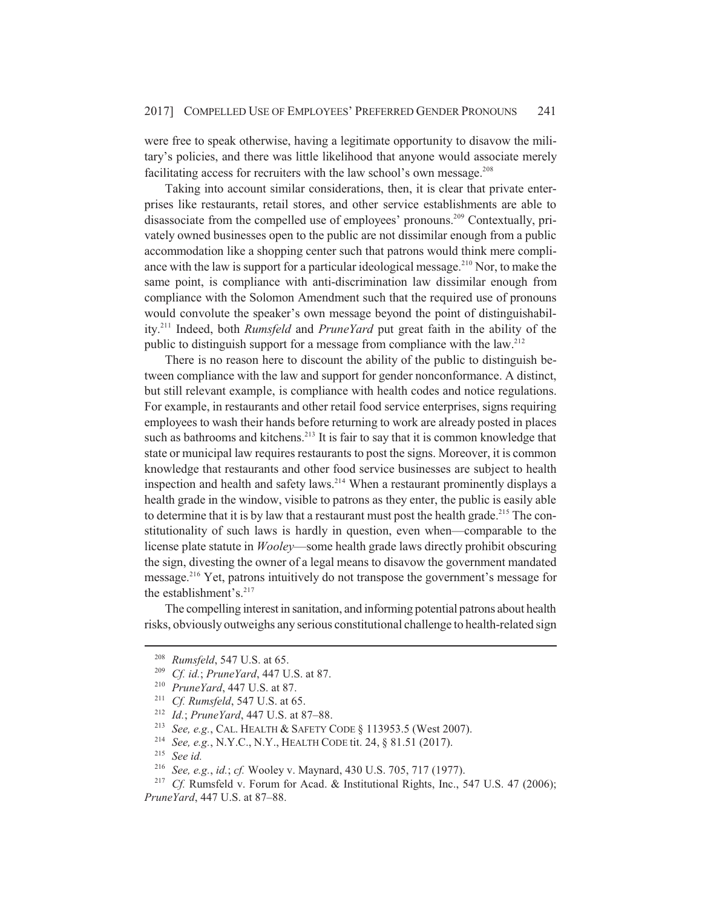were free to speak otherwise, having a legitimate opportunity to disavow the military's policies, and there was little likelihood that anyone would associate merely facilitating access for recruiters with the law school's own message.<sup>208</sup>

Taking into account similar considerations, then, it is clear that private enterprises like restaurants, retail stores, and other service establishments are able to disassociate from the compelled use of employees' pronouns.<sup>209</sup> Contextually, privately owned businesses open to the public are not dissimilar enough from a public accommodation like a shopping center such that patrons would think mere compliance with the law is support for a particular ideological message.<sup>210</sup> Nor, to make the same point, is compliance with anti-discrimination law dissimilar enough from compliance with the Solomon Amendment such that the required use of pronouns would convolute the speaker's own message beyond the point of distinguishability.211 Indeed, both *Rumsfeld* and *PruneYard* put great faith in the ability of the public to distinguish support for a message from compliance with the law.<sup>212</sup>

There is no reason here to discount the ability of the public to distinguish between compliance with the law and support for gender nonconformance. A distinct, but still relevant example, is compliance with health codes and notice regulations. For example, in restaurants and other retail food service enterprises, signs requiring employees to wash their hands before returning to work are already posted in places such as bathrooms and kitchens.<sup>213</sup> It is fair to say that it is common knowledge that state or municipal law requires restaurants to post the signs. Moreover, it is common knowledge that restaurants and other food service businesses are subject to health inspection and health and safety laws.<sup>214</sup> When a restaurant prominently displays a health grade in the window, visible to patrons as they enter, the public is easily able to determine that it is by law that a restaurant must post the health grade.<sup>215</sup> The constitutionality of such laws is hardly in question, even when—comparable to the license plate statute in *Wooley*—some health grade laws directly prohibit obscuring the sign, divesting the owner of a legal means to disavow the government mandated message.216 Yet, patrons intuitively do not transpose the government's message for the establishment's.<sup>217</sup>

The compelling interest in sanitation, and informing potential patrons about health risks, obviously outweighs any serious constitutional challenge to health-related sign

<sup>&</sup>lt;sup>208</sup> *Rumsfeld*, 547 U.S. at 65.<br><sup>209</sup> *Cf. id: PrupeYard, 447 U.* 

*Cf. id.*; *PruneYard*, 447 U.S. at 87.

<sup>210</sup> *PruneYard*, 447 U.S. at 87.

<sup>211</sup> *Cf. Rumsfeld*, 547 U.S. at 65.

<sup>&</sup>lt;sup>212</sup> *Id.*; *PruneYard*, 447 U.S. at 87–88.<br><sup>213</sup> *See e g* C<sub>AL</sub> HEALTH & SAFETY C

<sup>213</sup> *See, e.g.*, CAL. HEALTH & SAFETY CODE § 113953.5 (West 2007).

<sup>214</sup> *See, e.g.*, N.Y.C., N.Y., HEALTH CODE tit. 24, § 81.51 (2017).

<sup>&</sup>lt;sup>215</sup> *See id.*<br><sup>216</sup> *See e c* 

<sup>&</sup>lt;sup>216</sup> *See, e.g., id.; cf.* Wooley v. Maynard, 430 U.S. 705, 717 (1977).<br><sup>217</sup> *Cf. Rumsfeld y. Forum for Acad & Institutional Rights Inc.* 5

*Cf.* Rumsfeld v. Forum for Acad. & Institutional Rights, Inc., 547 U.S. 47 (2006); *PruneYard*, 447 U.S. at 87–88.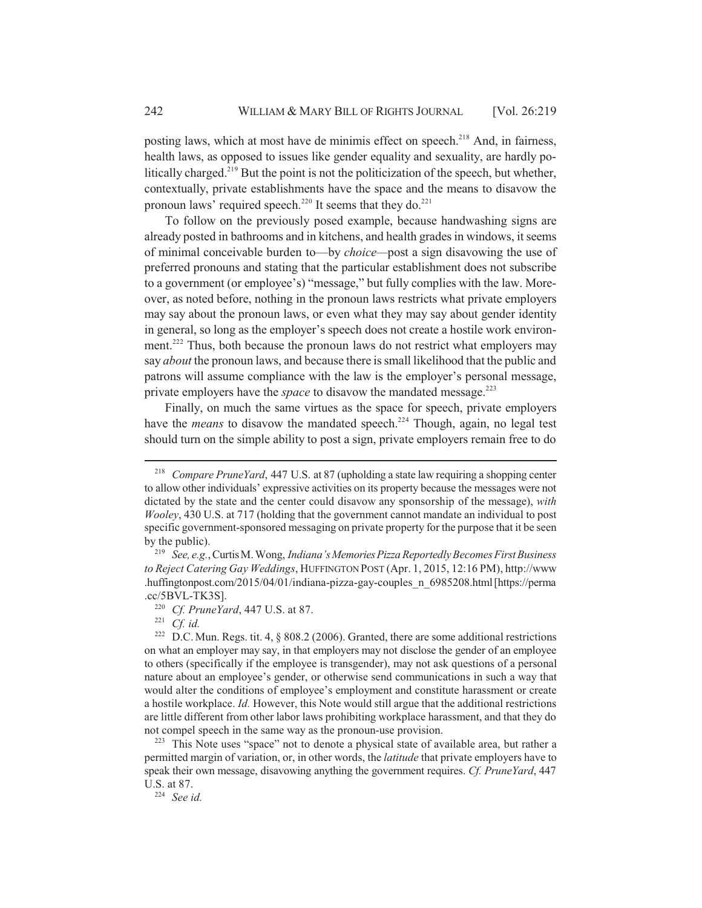posting laws, which at most have de minimis effect on speech.<sup>218</sup> And, in fairness, health laws, as opposed to issues like gender equality and sexuality, are hardly politically charged.<sup>219</sup> But the point is not the politicization of the speech, but whether, contextually, private establishments have the space and the means to disavow the pronoun laws' required speech.<sup>220</sup> It seems that they do.<sup>221</sup>

To follow on the previously posed example, because handwashing signs are already posted in bathrooms and in kitchens, and health grades in windows, it seems of minimal conceivable burden to—by *choice—*post a sign disavowing the use of preferred pronouns and stating that the particular establishment does not subscribe to a government (or employee's) "message," but fully complies with the law. Moreover, as noted before, nothing in the pronoun laws restricts what private employers may say about the pronoun laws, or even what they may say about gender identity in general, so long as the employer's speech does not create a hostile work environment.<sup>222</sup> Thus, both because the pronoun laws do not restrict what employers may say *about* the pronoun laws, and because there is small likelihood that the public and patrons will assume compliance with the law is the employer's personal message, private employers have the *space* to disavow the mandated message.<sup>223</sup>

Finally, on much the same virtues as the space for speech, private employers have the *means* to disavow the mandated speech.<sup>224</sup> Though, again, no legal test should turn on the simple ability to post a sign, private employers remain free to do

<sup>221</sup> *Cf. id.*<br><sup>222</sup> DC N

<sup>218</sup> *Compare PruneYard*, 447 U.S. at 87 (upholding a state law requiring a shopping center to allow other individuals' expressive activities on its property because the messages were not dictated by the state and the center could disavow any sponsorship of the message), *with Wooley*, 430 U.S. at 717 (holding that the government cannot mandate an individual to post specific government-sponsored messaging on private property for the purpose that it be seen by the public).

<sup>219</sup> *See, e.g.*, Curtis M. Wong, *Indiana's Memories Pizza Reportedly Becomes First Business to Reject Catering Gay Weddings*, HUFFINGTON POST (Apr. 1, 2015, 12:16 PM), http://www .huffingtonpost.com/2015/04/01/indiana-pizza-gay-couples\_n\_6985208.html [https://perma .cc/5BVL-TK3S].

<sup>220</sup> *Cf. PruneYard*, 447 U.S. at 87.

D.C. Mun. Regs. tit. 4, § 808.2 (2006). Granted, there are some additional restrictions on what an employer may say, in that employers may not disclose the gender of an employee to others (specifically if the employee is transgender), may not ask questions of a personal nature about an employee's gender, or otherwise send communications in such a way that would alter the conditions of employee's employment and constitute harassment or create a hostile workplace. *Id.* However, this Note would still argue that the additional restrictions are little different from other labor laws prohibiting workplace harassment, and that they do not compel speech in the same way as the pronoun-use provision.

<sup>&</sup>lt;sup>223</sup> This Note uses "space" not to denote a physical state of available area, but rather a permitted margin of variation, or, in other words, the *latitude* that private employers have to speak their own message, disavowing anything the government requires. *Cf. PruneYard*, 447 U.S. at 87.

<sup>224</sup> *See id.*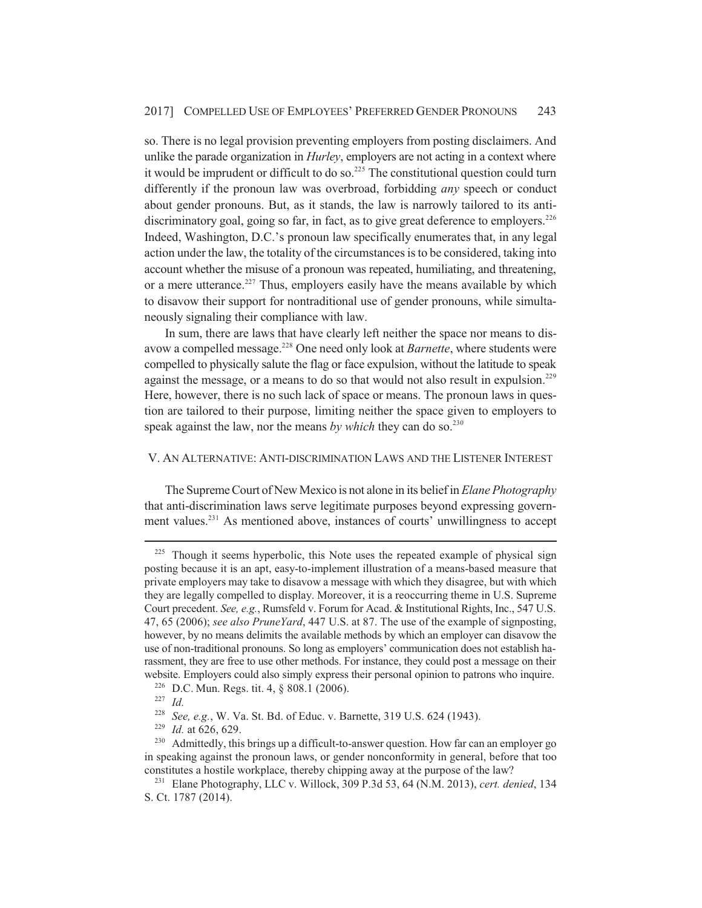so. There is no legal provision preventing employers from posting disclaimers. And unlike the parade organization in *Hurley*, employers are not acting in a context where it would be imprudent or difficult to do so. $225$  The constitutional question could turn differently if the pronoun law was overbroad, forbidding *any* speech or conduct about gender pronouns. But, as it stands, the law is narrowly tailored to its antidiscriminatory goal, going so far, in fact, as to give great deference to employers.<sup>226</sup> Indeed, Washington, D.C.'s pronoun law specifically enumerates that, in any legal action under the law, the totality of the circumstances is to be considered, taking into account whether the misuse of a pronoun was repeated, humiliating, and threatening, or a mere utterance.<sup>227</sup> Thus, employers easily have the means available by which to disavow their support for nontraditional use of gender pronouns, while simultaneously signaling their compliance with law.

In sum, there are laws that have clearly left neither the space nor means to disavow a compelled message.<sup>228</sup> One need only look at *Barnette*, where students were compelled to physically salute the flag or face expulsion, without the latitude to speak against the message, or a means to do so that would not also result in expulsion.<sup>229</sup> Here, however, there is no such lack of space or means. The pronoun laws in question are tailored to their purpose, limiting neither the space given to employers to speak against the law, nor the means by which they can do so.<sup>230</sup>

## V. AN ALTERNATIVE: ANTI-DISCRIMINATION LAWS AND THE LISTENER INTEREST

The Supreme Court of New Mexico is not alone in its belief in *Elane Photography* that anti-discrimination laws serve legitimate purposes beyond expressing government values.231 As mentioned above, instances of courts' unwillingness to accept

<sup>&</sup>lt;sup>225</sup> Though it seems hyperbolic, this Note uses the repeated example of physical sign posting because it is an apt, easy-to-implement illustration of a means-based measure that private employers may take to disavow a message with which they disagree, but with which they are legally compelled to display. Moreover, it is a reoccurring theme in U.S. Supreme Court precedent. *See, e.g.*, Rumsfeld v. Forum for Acad. & Institutional Rights, Inc., 547 U.S. 47, 65 (2006); *see also PruneYard*, 447 U.S. at 87. The use of the example of signposting, however, by no means delimits the available methods by which an employer can disavow the use of non-traditional pronouns. So long as employers' communication does not establish harassment, they are free to use other methods. For instance, they could post a message on their website. Employers could also simply express their personal opinion to patrons who inquire.

<sup>226</sup> D.C. Mun. Regs. tit. 4, § 808.1 (2006).

<sup>227</sup> *Id.*

<sup>228</sup> *See, e.g.*, W. Va. St. Bd. of Educ. v. Barnette, 319 U.S. 624 (1943).

<sup>229</sup> *Id.* at 626, 629.

<sup>&</sup>lt;sup>230</sup> Admittedly, this brings up a difficult-to-answer question. How far can an employer go in speaking against the pronoun laws, or gender nonconformity in general, before that too constitutes a hostile workplace, thereby chipping away at the purpose of the law?

<sup>231</sup> Elane Photography, LLC v. Willock, 309 P.3d 53, 64 (N.M. 2013), *cert. denied*, 134 S. Ct. 1787 (2014).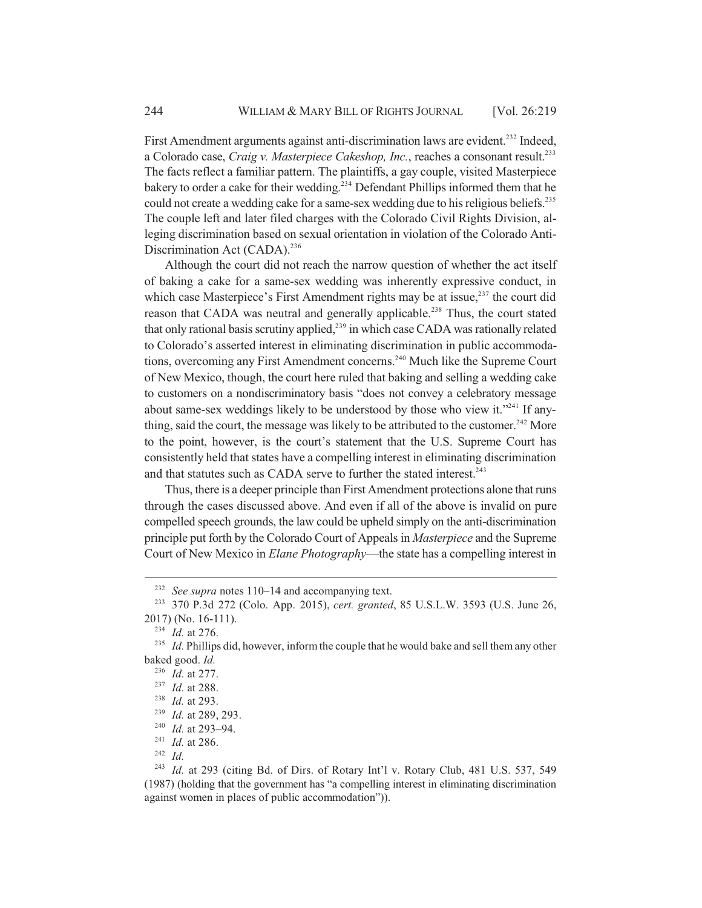First Amendment arguments against anti-discrimination laws are evident.<sup>232</sup> Indeed, a Colorado case, *Craig v. Masterpiece Cakeshop, Inc.*, reaches a consonant result.<sup>233</sup> The facts reflect a familiar pattern. The plaintiffs, a gay couple, visited Masterpiece bakery to order a cake for their wedding.<sup>234</sup> Defendant Phillips informed them that he could not create a wedding cake for a same-sex wedding due to his religious beliefs.<sup>235</sup> The couple left and later filed charges with the Colorado Civil Rights Division, alleging discrimination based on sexual orientation in violation of the Colorado Anti-Discrimination Act (CADA).<sup>236</sup>

Although the court did not reach the narrow question of whether the act itself of baking a cake for a same-sex wedding was inherently expressive conduct, in which case Masterpiece's First Amendment rights may be at issue, $237$  the court did reason that CADA was neutral and generally applicable.<sup>238</sup> Thus, the court stated that only rational basis scrutiny applied,<sup>239</sup> in which case CADA was rationally related to Colorado's asserted interest in eliminating discrimination in public accommodations, overcoming any First Amendment concerns.<sup>240</sup> Much like the Supreme Court of New Mexico, though, the court here ruled that baking and selling a wedding cake to customers on a nondiscriminatory basis "does not convey a celebratory message about same-sex weddings likely to be understood by those who view it."<sup>241</sup> If anything, said the court, the message was likely to be attributed to the customer.<sup>242</sup> More to the point, however, is the court's statement that the U.S. Supreme Court has consistently held that states have a compelling interest in eliminating discrimination and that statutes such as CADA serve to further the stated interest.<sup>243</sup>

Thus, there is a deeper principle than First Amendment protections alone that runs through the cases discussed above. And even if all of the above is invalid on pure compelled speech grounds, the law could be upheld simply on the anti-discrimination principle put forth by the Colorado Court of Appeals in *Masterpiece* and the Supreme Court of New Mexico in *Elane Photography*—the state has a compelling interest in

<sup>234</sup> *Id.* at 276.

<sup>236</sup> *Id.* at 277.

<sup>232</sup> *See supra* notes 110–14 and accompanying text.

<sup>233</sup> 370 P.3d 272 (Colo. App. 2015), *cert. granted*, 85 U.S.L.W. 3593 (U.S. June 26, 2017) (No. 16-111).

<sup>&</sup>lt;sup>235</sup> *Id.* Phillips did, however, inform the couple that he would bake and sell them any other baked good. *Id.*

<sup>237</sup> *Id.* at 288.

<sup>238</sup> *Id.* at 293.

<sup>239</sup> *Id.* at 289, 293.

<sup>240</sup> *Id.* at 293–94.

<sup>241</sup> *Id.* at 286.

<sup>242</sup> *Id.*

<sup>243</sup> *Id.* at 293 (citing Bd. of Dirs. of Rotary Int'l v. Rotary Club, 481 U.S. 537, 549 (1987) (holding that the government has "a compelling interest in eliminating discrimination against women in places of public accommodation")).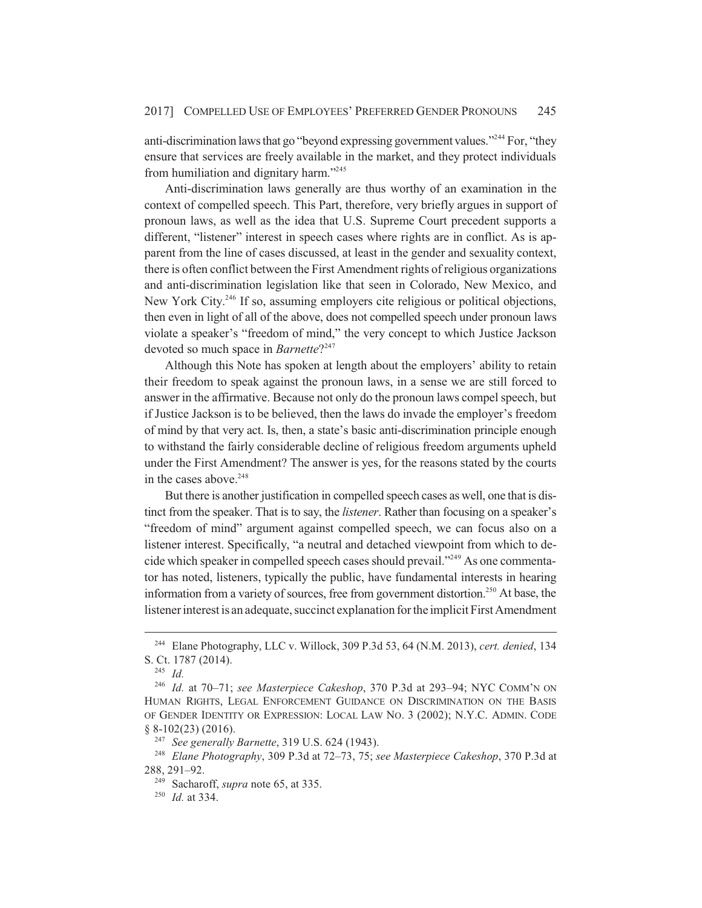anti-discrimination laws that go "beyond expressing government values."<sup>244</sup> For, "they ensure that services are freely available in the market, and they protect individuals from humiliation and dignitary harm."245

Anti-discrimination laws generally are thus worthy of an examination in the context of compelled speech. This Part, therefore, very briefly argues in support of pronoun laws, as well as the idea that U.S. Supreme Court precedent supports a different, "listener" interest in speech cases where rights are in conflict. As is apparent from the line of cases discussed, at least in the gender and sexuality context, there is often conflict between the First Amendment rights of religious organizations and anti-discrimination legislation like that seen in Colorado, New Mexico, and New York City.<sup>246</sup> If so, assuming employers cite religious or political objections, then even in light of all of the above, does not compelled speech under pronoun laws violate a speaker's "freedom of mind," the very concept to which Justice Jackson devoted so much space in *Barnette*?<sup>247</sup>

Although this Note has spoken at length about the employers' ability to retain their freedom to speak against the pronoun laws, in a sense we are still forced to answer in the affirmative. Because not only do the pronoun laws compel speech, but if Justice Jackson is to be believed, then the laws do invade the employer's freedom of mind by that very act. Is, then, a state's basic anti-discrimination principle enough to withstand the fairly considerable decline of religious freedom arguments upheld under the First Amendment? The answer is yes, for the reasons stated by the courts in the cases above.<sup>248</sup>

But there is another justification in compelled speech cases as well, one that is distinct from the speaker. That is to say, the *listener*. Rather than focusing on a speaker's "freedom of mind" argument against compelled speech, we can focus also on a listener interest. Specifically, "a neutral and detached viewpoint from which to decide which speaker in compelled speech cases should prevail."249 As one commentator has noted, listeners, typically the public, have fundamental interests in hearing information from a variety of sources, free from government distortion.<sup>250</sup> At base, the listener interest is an adequate, succinct explanation for the implicit First Amendment

<sup>244</sup> Elane Photography, LLC v. Willock, 309 P.3d 53, 64 (N.M. 2013), *cert. denied*, 134 S. Ct. 1787 (2014).

<sup>245</sup> *Id.*

<sup>246</sup> *Id.* at 70–71; *see Masterpiece Cakeshop*, 370 P.3d at 293–94; NYC COMM'N ON HUMAN RIGHTS, LEGAL ENFORCEMENT GUIDANCE ON DISCRIMINATION ON THE BASIS OF GENDER IDENTITY OR EXPRESSION: LOCAL LAW NO. 3 (2002); N.Y.C. ADMIN. CODE § 8-102(23) (2016).

<sup>247</sup> *See generally Barnette*, 319 U.S. 624 (1943).

<sup>248</sup> *Elane Photography*, 309 P.3d at 72–73, 75; *see Masterpiece Cakeshop*, 370 P.3d at 288, 291–92.

<sup>249</sup> Sacharoff, *supra* note 65, at 335.

<sup>250</sup> *Id.* at 334.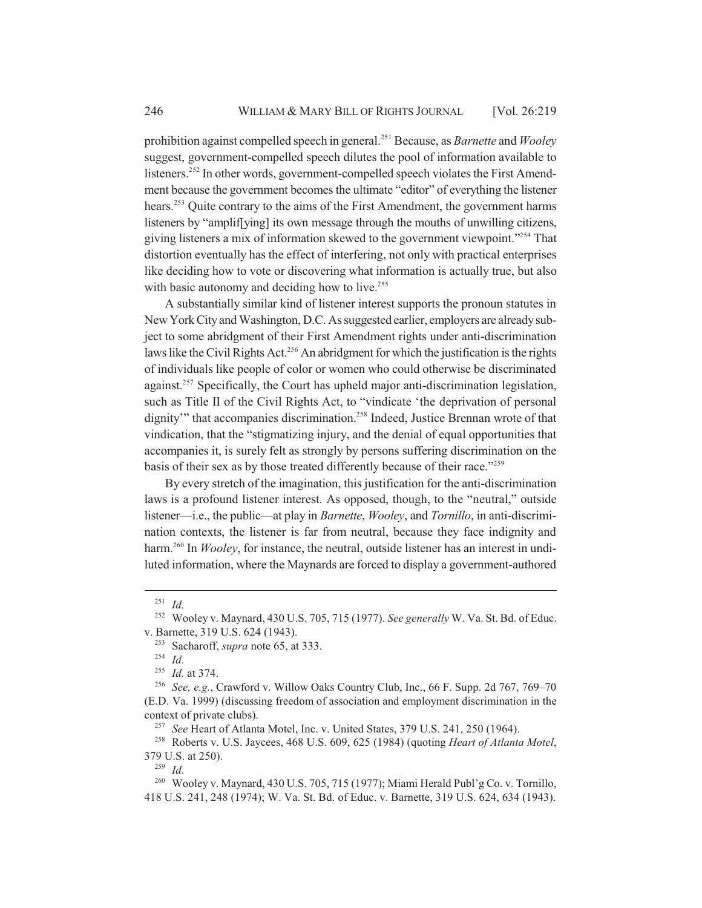prohibition against compelled speech in general.251 Because, as *Barnette* and *Wooley* suggest, government-compelled speech dilutes the pool of information available to listeners.<sup>252</sup> In other words, government-compelled speech violates the First Amendment because the government becomes the ultimate "editor" of everything the listener hears.<sup>253</sup> Quite contrary to the aims of the First Amendment, the government harms listeners by "amplif[ying] its own message through the mouths of unwilling citizens, giving listeners a mix of information skewed to the government viewpoint."254 That distortion eventually has the effect of interfering, not only with practical enterprises like deciding how to vote or discovering what information is actually true, but also with basic autonomy and deciding how to live.<sup>255</sup>

A substantially similar kind of listener interest supports the pronoun statutes in New York City and Washington, D.C. As suggested earlier, employers are already subject to some abridgment of their First Amendment rights under anti-discrimination laws like the Civil Rights Act.<sup>256</sup> An abridgment for which the justification is the rights of individuals like people of color or women who could otherwise be discriminated against.<sup>257</sup> Specifically, the Court has upheld major anti-discrimination legislation, such as Title II of the Civil Rights Act, to "vindicate 'the deprivation of personal dignity'" that accompanies discrimination.<sup>258</sup> Indeed, Justice Brennan wrote of that vindication, that the "stigmatizing injury, and the denial of equal opportunities that accompanies it, is surely felt as strongly by persons suffering discrimination on the basis of their sex as by those treated differently because of their race."<sup>259</sup>

By every stretch of the imagination, this justification for the anti-discrimination laws is a profound listener interest. As opposed, though, to the "neutral," outside listener—i.e., the public—at play in *Barnette*, *Wooley*, and *Tornillo*, in anti-discrimination contexts, the listener is far from neutral, because they face indignity and harm.<sup>260</sup> In *Wooley*, for instance, the neutral, outside listener has an interest in undiluted information, where the Maynards are forced to display a government-authored

<sup>257</sup> *See* Heart of Atlanta Motel, Inc. v. United States, 379 U.S. 241, 250 (1964).

<sup>258</sup> Roberts v. U.S. Jaycees, 468 U.S. 609, 625 (1984) (quoting *Heart of Atlanta Motel*, 379 U.S. at 250).

<sup>259</sup> *Id.*

<sup>260</sup> Wooley v. Maynard, 430 U.S. 705, 715 (1977); Miami Herald Publ'g Co. v. Tornillo, 418 U.S. 241, 248 (1974); W. Va. St. Bd. of Educ. v. Barnette, 319 U.S. 624, 634 (1943).

<sup>251</sup> *Id.*

<sup>252</sup> Wooley v. Maynard, 430 U.S. 705, 715 (1977). *See generally* W. Va. St. Bd. of Educ. v. Barnette, 319 U.S. 624 (1943).

<sup>253</sup> Sacharoff, *supra* note 65, at 333.

<sup>254</sup> *Id.*

<sup>255</sup> *Id.* at 374.

<sup>256</sup> *See, e.g.*, Crawford v. Willow Oaks Country Club, Inc., 66 F. Supp. 2d 767, 769–70 (E.D. Va. 1999) (discussing freedom of association and employment discrimination in the context of private clubs).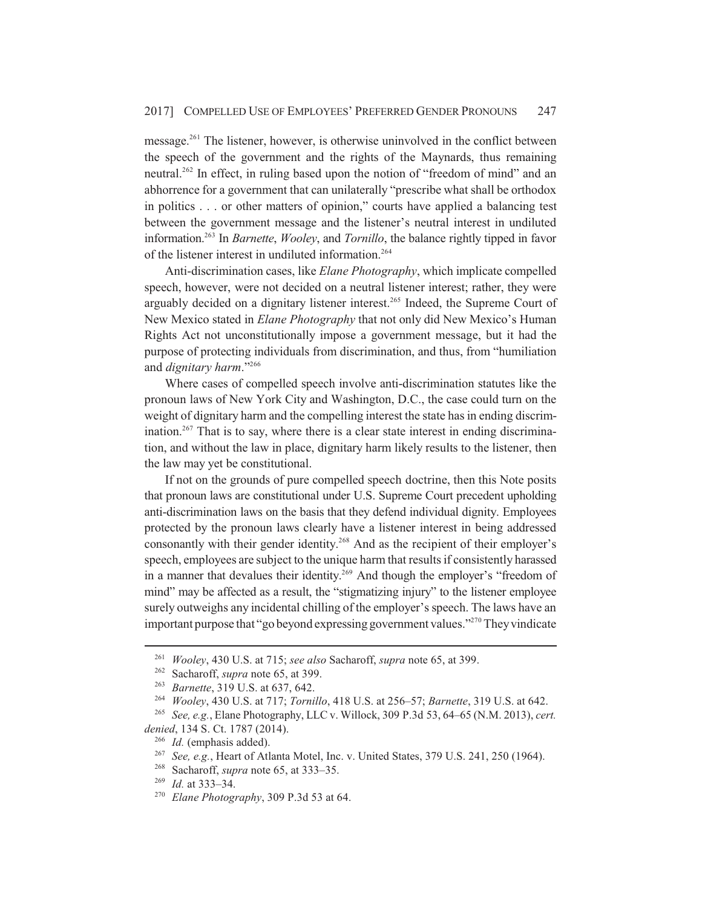message.261 The listener, however, is otherwise uninvolved in the conflict between the speech of the government and the rights of the Maynards, thus remaining neutral.<sup>262</sup> In effect, in ruling based upon the notion of "freedom of mind" and an abhorrence for a government that can unilaterally "prescribe what shall be orthodox in politics . . . or other matters of opinion," courts have applied a balancing test between the government message and the listener's neutral interest in undiluted information.263 In *Barnette*, *Wooley*, and *Tornillo*, the balance rightly tipped in favor of the listener interest in undiluted information.264

Anti-discrimination cases, like *Elane Photography*, which implicate compelled speech, however, were not decided on a neutral listener interest; rather, they were arguably decided on a dignitary listener interest.<sup>265</sup> Indeed, the Supreme Court of New Mexico stated in *Elane Photography* that not only did New Mexico's Human Rights Act not unconstitutionally impose a government message, but it had the purpose of protecting individuals from discrimination, and thus, from "humiliation and *dignitary harm*."266

Where cases of compelled speech involve anti-discrimination statutes like the pronoun laws of New York City and Washington, D.C., the case could turn on the weight of dignitary harm and the compelling interest the state has in ending discrimination.<sup>267</sup> That is to say, where there is a clear state interest in ending discrimination, and without the law in place, dignitary harm likely results to the listener, then the law may yet be constitutional.

If not on the grounds of pure compelled speech doctrine, then this Note posits that pronoun laws are constitutional under U.S. Supreme Court precedent upholding anti-discrimination laws on the basis that they defend individual dignity. Employees protected by the pronoun laws clearly have a listener interest in being addressed consonantly with their gender identity.<sup>268</sup> And as the recipient of their employer's speech, employees are subject to the unique harm that results if consistently harassed in a manner that devalues their identity.<sup>269</sup> And though the employer's "freedom of mind" may be affected as a result, the "stigmatizing injury" to the listener employee surely outweighs any incidental chilling of the employer's speech. The laws have an important purpose that "go beyond expressing government values."270 They vindicate

<sup>261</sup> *Wooley*, 430 U.S. at 715; *see also* Sacharoff, *supra* note 65, at 399.

<sup>262</sup> Sacharoff, *supra* note 65, at 399.

<sup>263</sup> *Barnette*, 319 U.S. at 637, 642.

<sup>264</sup> *Wooley*, 430 U.S. at 717; *Tornillo*, 418 U.S. at 256–57; *Barnette*, 319 U.S. at 642.

<sup>265</sup> *See, e.g.*, Elane Photography, LLC v. Willock, 309 P.3d 53, 64–65 (N.M. 2013), *cert. denied*, 134 S. Ct. 1787 (2014).

<sup>266</sup> *Id.* (emphasis added).

<sup>267</sup> *See, e.g.*, Heart of Atlanta Motel, Inc. v. United States, 379 U.S. 241, 250 (1964).

<sup>268</sup> Sacharoff, *supra* note 65, at 333–35.

<sup>269</sup> *Id.* at 333–34.

<sup>270</sup> *Elane Photography*, 309 P.3d 53 at 64.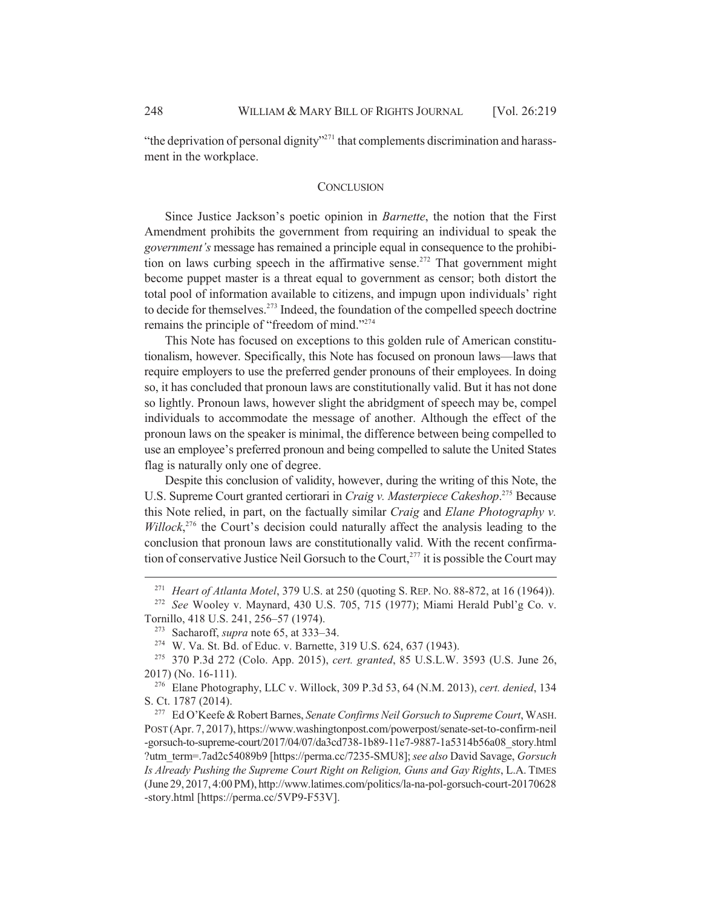"the deprivation of personal dignity"<sup>271</sup> that complements discrimination and harassment in the workplace.

#### **CONCLUSION**

Since Justice Jackson's poetic opinion in *Barnette*, the notion that the First Amendment prohibits the government from requiring an individual to speak the *government's* message has remained a principle equal in consequence to the prohibition on laws curbing speech in the affirmative sense.<sup>272</sup> That government might become puppet master is a threat equal to government as censor; both distort the total pool of information available to citizens, and impugn upon individuals' right to decide for themselves.<sup>273</sup> Indeed, the foundation of the compelled speech doctrine remains the principle of "freedom of mind."274

This Note has focused on exceptions to this golden rule of American constitutionalism, however. Specifically, this Note has focused on pronoun laws—laws that require employers to use the preferred gender pronouns of their employees. In doing so, it has concluded that pronoun laws are constitutionally valid. But it has not done so lightly. Pronoun laws, however slight the abridgment of speech may be, compel individuals to accommodate the message of another. Although the effect of the pronoun laws on the speaker is minimal, the difference between being compelled to use an employee's preferred pronoun and being compelled to salute the United States flag is naturally only one of degree.

Despite this conclusion of validity, however, during the writing of this Note, the U.S. Supreme Court granted certiorari in *Craig v. Masterpiece Cakeshop*.<sup>275</sup> Because this Note relied, in part, on the factually similar *Craig* and *Elane Photography v.* Willock,<sup>276</sup> the Court's decision could naturally affect the analysis leading to the conclusion that pronoun laws are constitutionally valid. With the recent confirmation of conservative Justice Neil Gorsuch to the Court,<sup>277</sup> it is possible the Court may

<sup>271</sup> *Heart of Atlanta Motel*, 379 U.S. at 250 (quoting S. REP. NO. 88-872, at 16 (1964)).

<sup>272</sup> *See* Wooley v. Maynard, 430 U.S. 705, 715 (1977); Miami Herald Publ'g Co. v. Tornillo, 418 U.S. 241, 256–57 (1974).

<sup>273</sup> Sacharoff, *supra* note 65, at 333–34.

<sup>274</sup> W. Va. St. Bd. of Educ. v. Barnette, 319 U.S. 624, 637 (1943).

<sup>275</sup> 370 P.3d 272 (Colo. App. 2015), *cert. granted*, 85 U.S.L.W. 3593 (U.S. June 26, 2017) (No. 16-111).

<sup>276</sup> Elane Photography, LLC v. Willock, 309 P.3d 53, 64 (N.M. 2013), *cert. denied*, 134 S. Ct. 1787 (2014).

<sup>277</sup> Ed O'Keefe & Robert Barnes, *Senate Confirms Neil Gorsuch to Supreme Court*, WASH. POST (Apr. 7, 2017), https://www.washingtonpost.com/powerpost/senate-set-to-confirm-neil -gorsuch-to-supreme-court/2017/04/07/da3cd738-1b89-11e7-9887-1a5314b56a08\_story.html ?utm\_term=.7ad2c54089b9 [https://perma.cc/7235-SMU8]; *see also* David Savage, *Gorsuch Is Already Pushing the Supreme Court Right on Religion, Guns and Gay Rights*, L.A. TIMES (June 29, 2017, 4:00 PM), http://www.latimes.com/politics/la-na-pol-gorsuch-court-20170628 -story.html [https://perma.cc/5VP9-F53V].